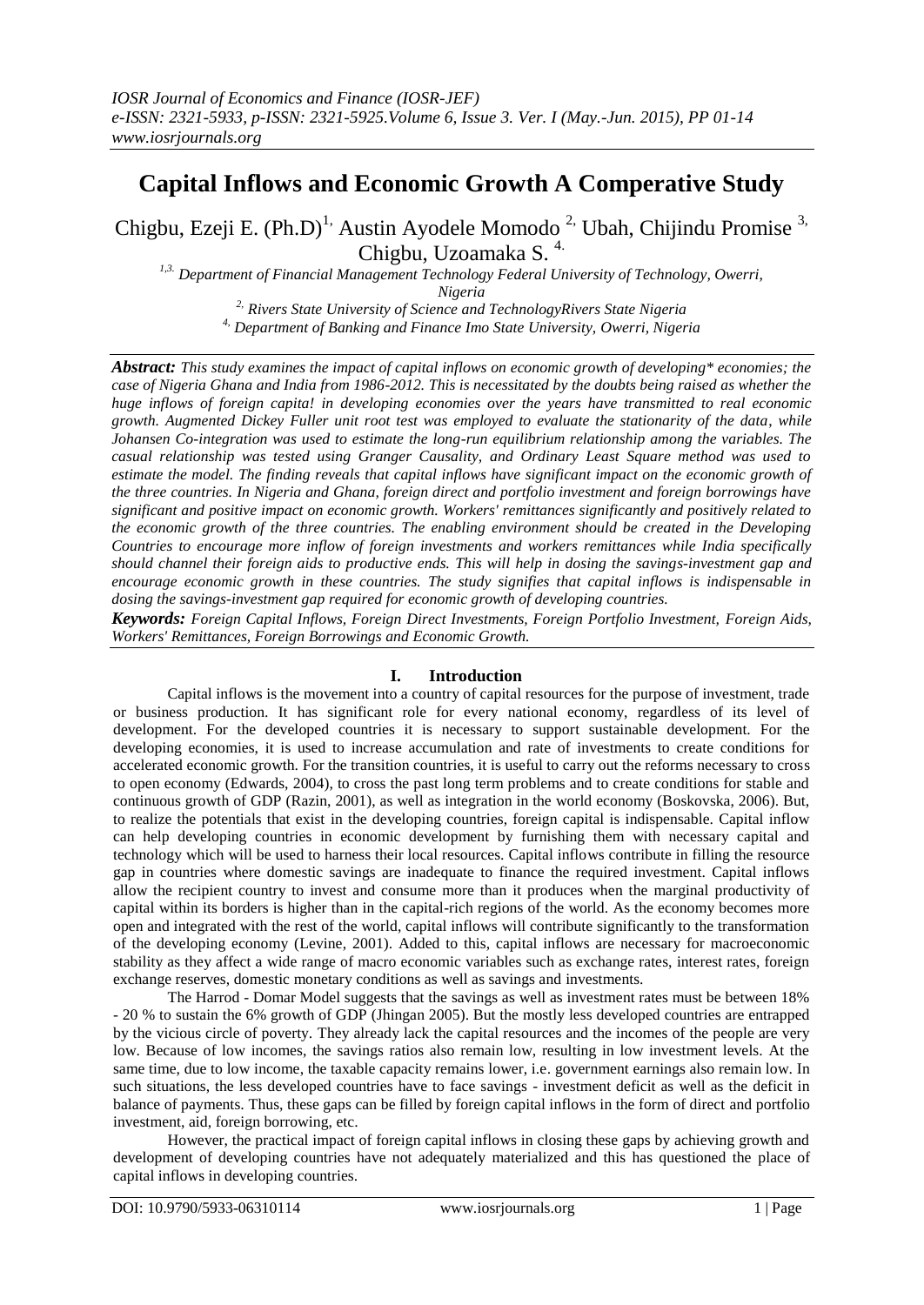# **Capital Inflows and Economic Growth A Comperative Study**

Chigbu, Ezeji E. (Ph.D)<sup>1,</sup> Austin Ayodele Momodo<sup>2,</sup> Ubah, Chijindu Promise<sup>3,</sup> Chigbu, Uzoamaka S. 4.

*1,3. Department of Financial Management Technology Federal University of Technology, Owerri, Nigeria 2, Rivers State University of Science and TechnologyRivers State Nigeria*

*4, Department of Banking and Finance Imo State University, Owerri, Nigeria*

*Abstract: This study examines the impact of capital inflows on economic growth of developing\* economies; the case of Nigeria Ghana and India from 1986-2012. This is necessitated by the doubts being raised as whether the huge inflows of foreign capita! in developing economies over the years have transmitted to real economic growth. Augmented Dickey Fuller unit root test was employed to evaluate the stationarity of the data*, *while Johansen Co-integration was used to estimate the long-run equilibrium relationship among the variables. The casual relationship was tested using Granger Causality, and Ordinary Least Square method was used to estimate the model. The finding reveals that capital inflows have significant impact on the economic growth of the three countries. In Nigeria and Ghana, foreign direct and portfolio investment and foreign borrowings have significant and positive impact on economic growth. Workers' remittances significantly and positively related to the economic growth of the three countries. The enabling environment should be created in the Developing Countries to encourage more inflow of foreign investments and workers remittances while India specifically should channel their foreign aids to productive ends. This will help in dosing the savings-investment gap and encourage economic growth in these countries. The study signifies that capital inflows is indispensable in dosing the savings-investment gap required for economic growth of developing countries.*

*Keywords: Foreign Capital Inflows, Foreign Direct Investments, Foreign Portfolio Investment, Foreign Aids, Workers' Remittances, Foreign Borrowings and Economic Growth.*

## **I. Introduction**

Capital inflows is the movement into a country of capital resources for the purpose of investment, trade or business production. It has significant role for every national economy, regardless of its level of development. For the developed countries it is necessary to support sustainable development. For the developing economies, it is used to increase accumulation and rate of investments to create conditions for accelerated economic growth. For the transition countries, it is useful to carry out the reforms necessary to cross to open economy (Edwards, 2004), to cross the past long term problems and to create conditions for stable and continuous growth of GDP (Razin, 2001), as well as integration in the world economy (Boskovska, 2006). But, to realize the potentials that exist in the developing countries, foreign capital is indispensable. Capital inflow can help developing countries in economic development by furnishing them with necessary capital and technology which will be used to harness their local resources. Capital inflows contribute in filling the resource gap in countries where domestic savings are inadequate to finance the required investment. Capital inflows allow the recipient country to invest and consume more than it produces when the marginal productivity of capital within its borders is higher than in the capital-rich regions of the world. As the economy becomes more open and integrated with the rest of the world, capital inflows will contribute significantly to the transformation of the developing economy (Levine, 2001). Added to this, capital inflows are necessary for macroeconomic stability as they affect a wide range of macro economic variables such as exchange rates, interest rates, foreign exchange reserves, domestic monetary conditions as well as savings and investments.

The Harrod - Domar Model suggests that the savings as well as investment rates must be between 18% - 20 % to sustain the 6% growth of GDP (Jhingan 2005). But the mostly less developed countries are entrapped by the vicious circle of poverty. They already lack the capital resources and the incomes of the people are very low. Because of low incomes, the savings ratios also remain low, resulting in low investment levels. At the same time, due to low income, the taxable capacity remains lower, i.e. government earnings also remain low. In such situations, the less developed countries have to face savings - investment deficit as well as the deficit in balance of payments. Thus, these gaps can be filled by foreign capital inflows in the form of direct and portfolio investment, aid, foreign borrowing, etc.

However, the practical impact of foreign capital inflows in closing these gaps by achieving growth and development of developing countries have not adequately materialized and this has questioned the place of capital inflows in developing countries.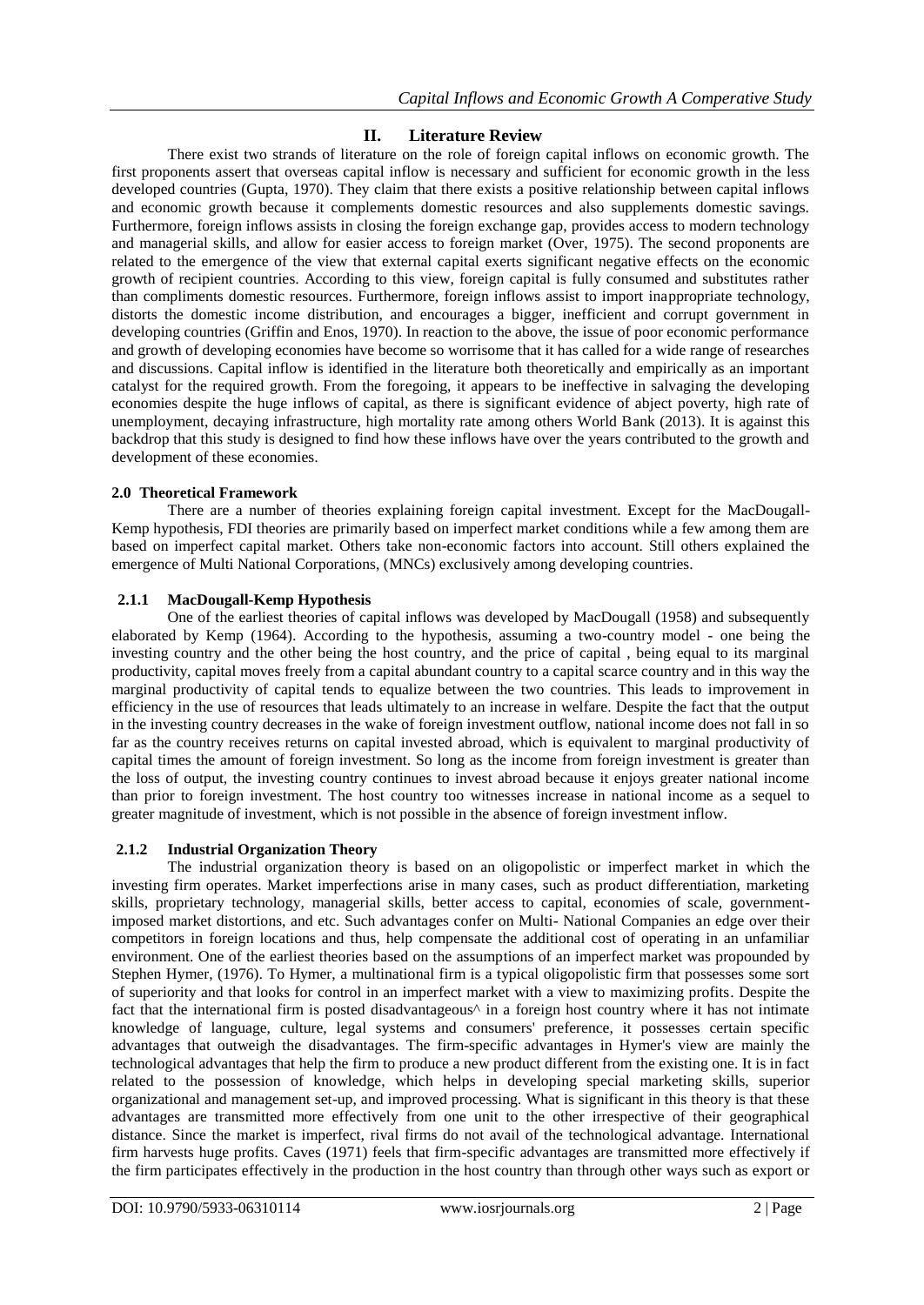## **II. Literature Review**

There exist two strands of literature on the role of foreign capital inflows on economic growth. The first proponents assert that overseas capital inflow is necessary and sufficient for economic growth in the less developed countries (Gupta, 1970). They claim that there exists a positive relationship between capital inflows and economic growth because it complements domestic resources and also supplements domestic savings. Furthermore, foreign inflows assists in closing the foreign exchange gap, provides access to modern technology and managerial skills, and allow for easier access to foreign market (Over, 1975). The second proponents are related to the emergence of the view that external capital exerts significant negative effects on the economic growth of recipient countries. According to this view, foreign capital is fully consumed and substitutes rather than compliments domestic resources. Furthermore, foreign inflows assist to import inappropriate technology, distorts the domestic income distribution, and encourages a bigger, inefficient and corrupt government in developing countries (Griffin and Enos, 1970). In reaction to the above, the issue of poor economic performance and growth of developing economies have become so worrisome that it has called for a wide range of researches and discussions. Capital inflow is identified in the literature both theoretically and empirically as an important catalyst for the required growth. From the foregoing, it appears to be ineffective in salvaging the developing economies despite the huge inflows of capital, as there is significant evidence of abject poverty, high rate of unemployment, decaying infrastructure, high mortality rate among others World Bank (2013). It is against this backdrop that this study is designed to find how these inflows have over the years contributed to the growth and development of these economies.

## **2.0 Theoretical Framework**

There are a number of theories explaining foreign capital investment. Except for the MacDougall-Kemp hypothesis, FDI theories are primarily based on imperfect market conditions while a few among them are based on imperfect capital market. Others take non-economic factors into account. Still others explained the emergence of Multi National Corporations, (MNCs) exclusively among developing countries.

## **2.1.1 MacDougall-Kemp Hypothesis**

One of the earliest theories of capital inflows was developed by MacDougall (1958) and subsequently elaborated by Kemp (1964). According to the hypothesis, assuming a two-country model - one being the investing country and the other being the host country, and the price of capital , being equal to its marginal productivity, capital moves freely from a capital abundant country to a capital scarce country and in this way the marginal productivity of capital tends to equalize between the two countries. This leads to improvement in efficiency in the use of resources that leads ultimately to an increase in welfare. Despite the fact that the output in the investing country decreases in the wake of foreign investment outflow, national income does not fall in so far as the country receives returns on capital invested abroad, which is equivalent to marginal productivity of capital times the amount of foreign investment. So long as the income from foreign investment is greater than the loss of output, the investing country continues to invest abroad because it enjoys greater national income than prior to foreign investment. The host country too witnesses increase in national income as a sequel to greater magnitude of investment, which is not possible in the absence of foreign investment inflow.

#### **2.1.2 Industrial Organization Theory**

The industrial organization theory is based on an oligopolistic or imperfect market in which the investing firm operates. Market imperfections arise in many cases, such as product differentiation, marketing skills, proprietary technology, managerial skills, better access to capital, economies of scale, governmentimposed market distortions, and etc. Such advantages confer on Multi- National Companies an edge over their competitors in foreign locations and thus, help compensate the additional cost of operating in an unfamiliar environment. One of the earliest theories based on the assumptions of an imperfect market was propounded by Stephen Hymer, (1976). To Hymer, a multinational firm is a typical oligopolistic firm that possesses some sort of superiority and that looks for control in an imperfect market with a view to maximizing profits. Despite the fact that the international firm is posted disadvantageous<sup> $\wedge$ </sup> in a foreign host country where it has not intimate knowledge of language, culture, legal systems and consumers' preference, it possesses certain specific advantages that outweigh the disadvantages. The firm-specific advantages in Hymer's view are mainly the technological advantages that help the firm to produce a new product different from the existing one. It is in fact related to the possession of knowledge, which helps in developing special marketing skills, superior organizational and management set-up, and improved processing. What is significant in this theory is that these advantages are transmitted more effectively from one unit to the other irrespective of their geographical distance. Since the market is imperfect, rival firms do not avail of the technological advantage. International firm harvests huge profits. Caves (1971) feels that firm-specific advantages are transmitted more effectively if the firm participates effectively in the production in the host country than through other ways such as export or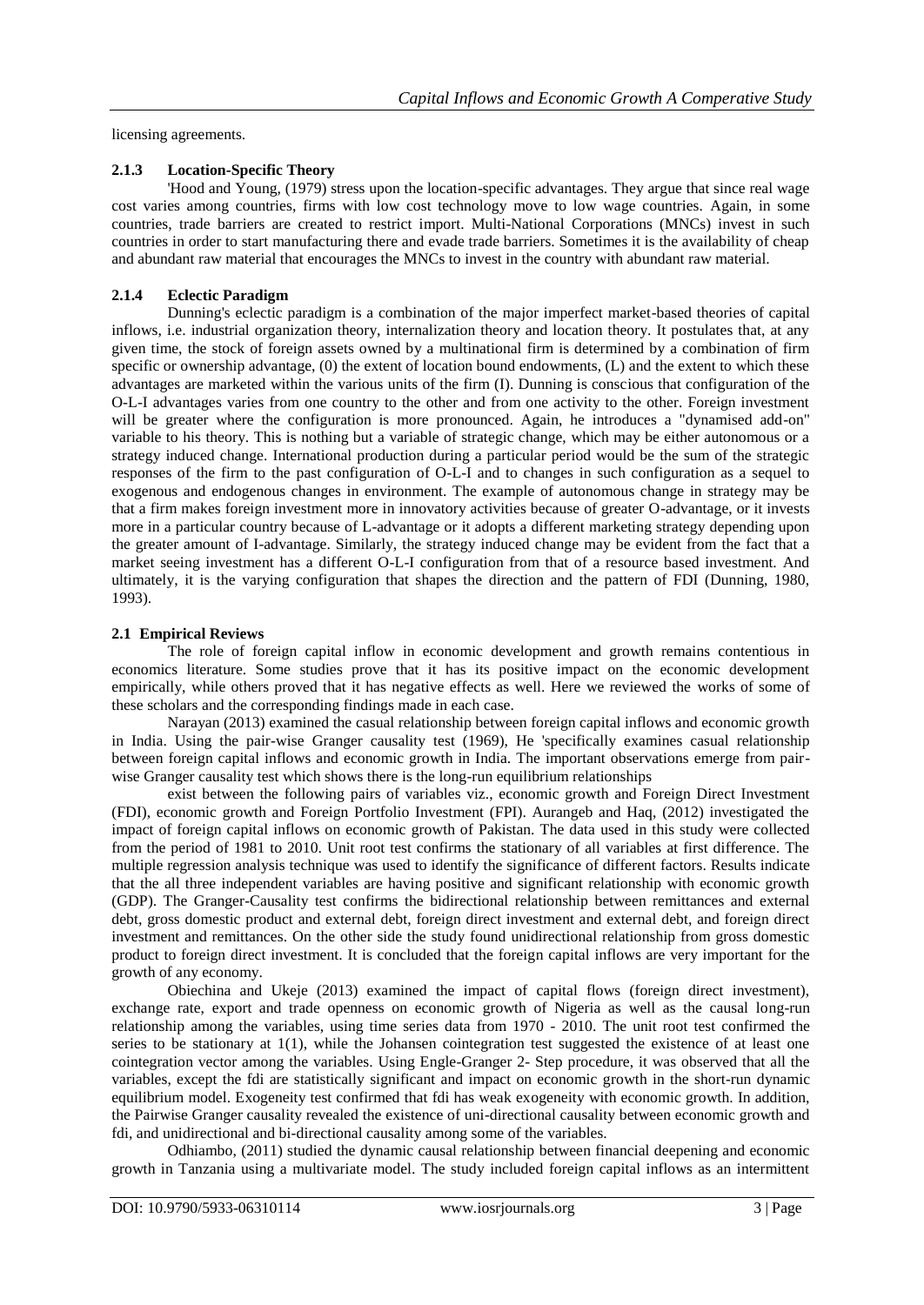licensing agreements.

## **2.1.3 Location-Specific Theory**

'Hood and Young, (1979) stress upon the location-specific advantages. They argue that since real wage cost varies among countries, firms with low cost technology move to low wage countries. Again, in some countries, trade barriers are created to restrict import. Multi-National Corporations (MNCs) invest in such countries in order to start manufacturing there and evade trade barriers. Sometimes it is the availability of cheap and abundant raw material that encourages the MNCs to invest in the country with abundant raw material.

## **2.1.4 Eclectic Paradigm**

Dunning's eclectic paradigm is a combination of the major imperfect market-based theories of capital inflows, i.e. industrial organization theory, internalization theory and location theory. It postulates that, at any given time, the stock of foreign assets owned by a multinational firm is determined by a combination of firm specific or ownership advantage, (0) the extent of location bound endowments, (L) and the extent to which these advantages are marketed within the various units of the firm (I). Dunning is conscious that configuration of the O-L-I advantages varies from one country to the other and from one activity to the other. Foreign investment will be greater where the configuration is more pronounced. Again, he introduces a "dynamised add-on" variable to his theory. This is nothing but a variable of strategic change, which may be either autonomous or a strategy induced change. International production during a particular period would be the sum of the strategic responses of the firm to the past configuration of O-L-I and to changes in such configuration as a sequel to exogenous and endogenous changes in environment. The example of autonomous change in strategy may be that a firm makes foreign investment more in innovatory activities because of greater O-advantage, or it invests more in a particular country because of L-advantage or it adopts a different marketing strategy depending upon the greater amount of I-advantage. Similarly, the strategy induced change may be evident from the fact that a market seeing investment has a different O-L-I configuration from that of a resource based investment. And ultimately, it is the varying configuration that shapes the direction and the pattern of FDI (Dunning, 1980, 1993).

## **2.1 Empirical Reviews**

The role of foreign capital inflow in economic development and growth remains contentious in economics literature. Some studies prove that it has its positive impact on the economic development empirically, while others proved that it has negative effects as well. Here we reviewed the works of some of these scholars and the corresponding findings made in each case.

Narayan (2013) examined the casual relationship between foreign capital inflows and economic growth in India. Using the pair-wise Granger causality test (1969), He 'specifically examines casual relationship between foreign capital inflows and economic growth in India. The important observations emerge from pairwise Granger causality test which shows there is the long-run equilibrium relationships

exist between the following pairs of variables viz., economic growth and Foreign Direct Investment (FDI), economic growth and Foreign Portfolio Investment (FPI). Aurangeb and Haq, (2012) investigated the impact of foreign capital inflows on economic growth of Pakistan. The data used in this study were collected from the period of 1981 to 2010. Unit root test confirms the stationary of all variables at first difference. The multiple regression analysis technique was used to identify the significance of different factors. Results indicate that the all three independent variables are having positive and significant relationship with economic growth (GDP). The Granger-Causality test confirms the bidirectional relationship between remittances and external debt, gross domestic product and external debt, foreign direct investment and external debt, and foreign direct investment and remittances. On the other side the study found unidirectional relationship from gross domestic product to foreign direct investment. It is concluded that the foreign capital inflows are very important for the growth of any economy.

Obiechina and Ukeje (2013) examined the impact of capital flows (foreign direct investment), exchange rate, export and trade openness on economic growth of Nigeria as well as the causal long-run relationship among the variables, using time series data from 1970 - 2010. The unit root test confirmed the series to be stationary at 1(1), while the Johansen cointegration test suggested the existence of at least one cointegration vector among the variables. Using Engle-Granger 2- Step procedure, it was observed that all the variables, except the fdi are statistically significant and impact on economic growth in the short-run dynamic equilibrium model. Exogeneity test confirmed that fdi has weak exogeneity with economic growth. In addition, the Pairwise Granger causality revealed the existence of uni-directional causality between economic growth and fdi, and unidirectional and bi-directional causality among some of the variables.

Odhiambo, (2011) studied the dynamic causal relationship between financial deepening and economic growth in Tanzania using a multivariate model. The study included foreign capital inflows as an intermittent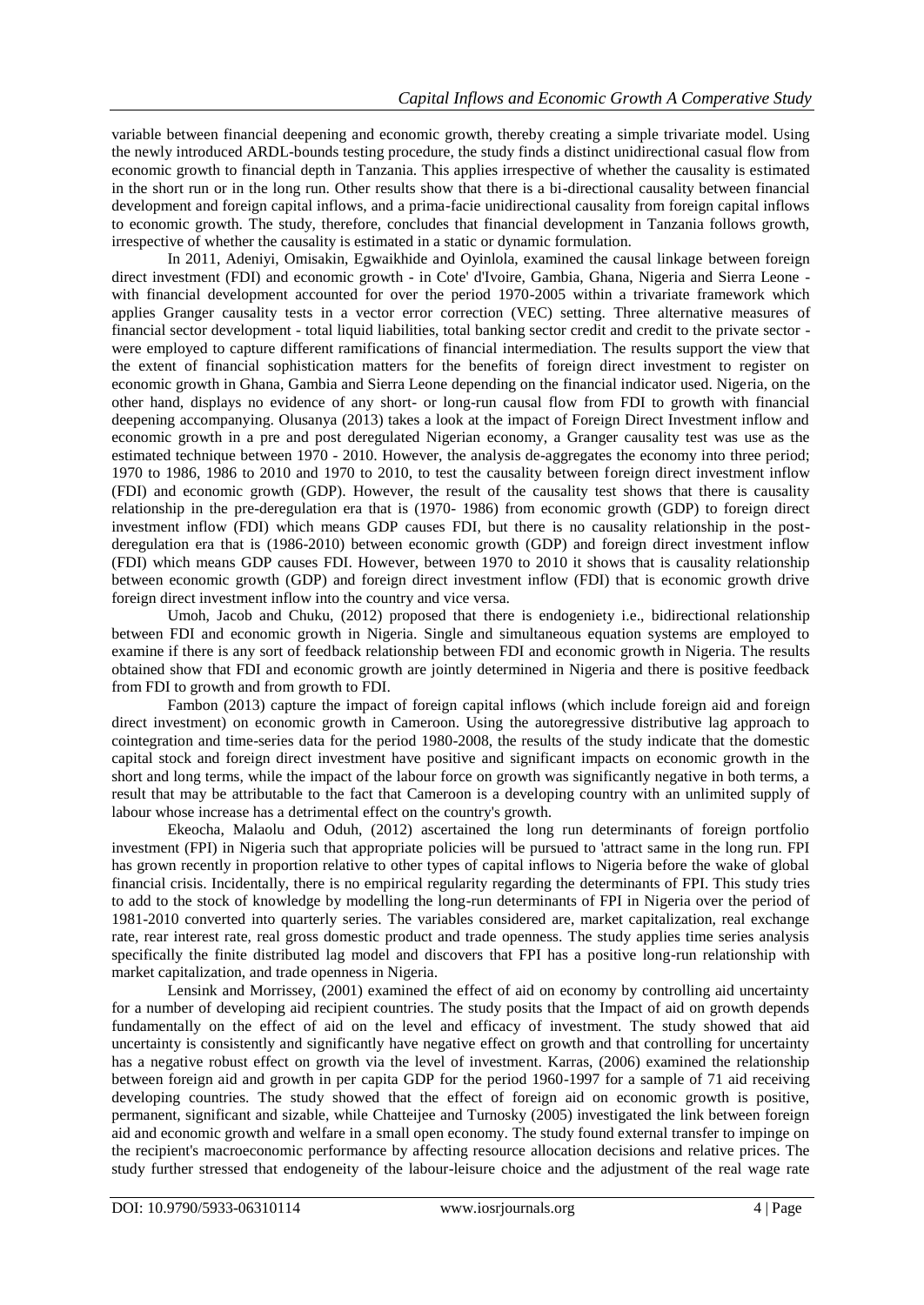variable between financial deepening and economic growth, thereby creating a simple trivariate model. Using the newly introduced ARDL-bounds testing procedure, the study finds a distinct unidirectional casual flow from economic growth to financial depth in Tanzania. This applies irrespective of whether the causality is estimated in the short run or in the long run. Other results show that there is a bi-directional causality between financial development and foreign capital inflows, and a prima-facie unidirectional causality from foreign capital inflows to economic growth. The study, therefore, concludes that financial development in Tanzania follows growth, irrespective of whether the causality is estimated in a static or dynamic formulation.

In 2011, Adeniyi, Omisakin, Egwaikhide and Oyinlola, examined the causal linkage between foreign direct investment (FDI) and economic growth - in Cote' d'Ivoire, Gambia, Ghana, Nigeria and Sierra Leone with financial development accounted for over the period 1970-2005 within a trivariate framework which applies Granger causality tests in a vector error correction (VEC) setting. Three alternative measures of financial sector development - total liquid liabilities, total banking sector credit and credit to the private sector were employed to capture different ramifications of financial intermediation. The results support the view that the extent of financial sophistication matters for the benefits of foreign direct investment to register on economic growth in Ghana, Gambia and Sierra Leone depending on the financial indicator used. Nigeria, on the other hand, displays no evidence of any short- or long-run causal flow from FDI to growth with financial deepening accompanying. Olusanya (2013) takes a look at the impact of Foreign Direct Investment inflow and economic growth in a pre and post deregulated Nigerian economy, a Granger causality test was use as the estimated technique between 1970 - 2010. However, the analysis de-aggregates the economy into three period; 1970 to 1986, 1986 to 2010 and 1970 to 2010, to test the causality between foreign direct investment inflow (FDI) and economic growth (GDP). However, the result of the causality test shows that there is causality relationship in the pre-deregulation era that is (1970- 1986) from economic growth (GDP) to foreign direct investment inflow (FDI) which means GDP causes FDI, but there is no causality relationship in the postderegulation era that is (1986-2010) between economic growth (GDP) and foreign direct investment inflow (FDI) which means GDP causes FDI. However, between 1970 to 2010 it shows that is causality relationship between economic growth (GDP) and foreign direct investment inflow (FDI) that is economic growth drive foreign direct investment inflow into the country and vice versa.

Umoh, Jacob and Chuku, (2012) proposed that there is endogeniety i.e., bidirectional relationship between FDI and economic growth in Nigeria. Single and simultaneous equation systems are employed to examine if there is any sort of feedback relationship between FDI and economic growth in Nigeria. The results obtained show that FDI and economic growth are jointly determined in Nigeria and there is positive feedback from FDI to growth and from growth to FDI.

Fambon (2013) capture the impact of foreign capital inflows (which include foreign aid and foreign direct investment) on economic growth in Cameroon. Using the autoregressive distributive lag approach to cointegration and time-series data for the period 1980-2008, the results of the study indicate that the domestic capital stock and foreign direct investment have positive and significant impacts on economic growth in the short and long terms, while the impact of the labour force on growth was significantly negative in both terms, a result that may be attributable to the fact that Cameroon is a developing country with an unlimited supply of labour whose increase has a detrimental effect on the country's growth.

Ekeocha, Malaolu and Oduh, (2012) ascertained the long run determinants of foreign portfolio investment (FPI) in Nigeria such that appropriate policies will be pursued to 'attract same in the long run. FPI has grown recently in proportion relative to other types of capital inflows to Nigeria before the wake of global financial crisis. Incidentally, there is no empirical regularity regarding the determinants of FPI. This study tries to add to the stock of knowledge by modelling the long-run determinants of FPI in Nigeria over the period of 1981-2010 converted into quarterly series. The variables considered are, market capitalization, real exchange rate, rear interest rate, real gross domestic product and trade openness. The study applies time series analysis specifically the finite distributed lag model and discovers that FPI has a positive long-run relationship with market capitalization, and trade openness in Nigeria.

Lensink and Morrissey, (2001) examined the effect of aid on economy by controlling aid uncertainty for a number of developing aid recipient countries. The study posits that the Impact of aid on growth depends fundamentally on the effect of aid on the level and efficacy of investment. The study showed that aid uncertainty is consistently and significantly have negative effect on growth and that controlling for uncertainty has a negative robust effect on growth via the level of investment. Karras, (2006) examined the relationship between foreign aid and growth in per capita GDP for the period 1960-1997 for a sample of 71 aid receiving developing countries. The study showed that the effect of foreign aid on economic growth is positive, permanent, significant and sizable, while Chatteijee and Turnosky (2005) investigated the link between foreign aid and economic growth and welfare in a small open economy. The study found external transfer to impinge on the recipient's macroeconomic performance by affecting resource allocation decisions and relative prices. The study further stressed that endogeneity of the labour-leisure choice and the adjustment of the real wage rate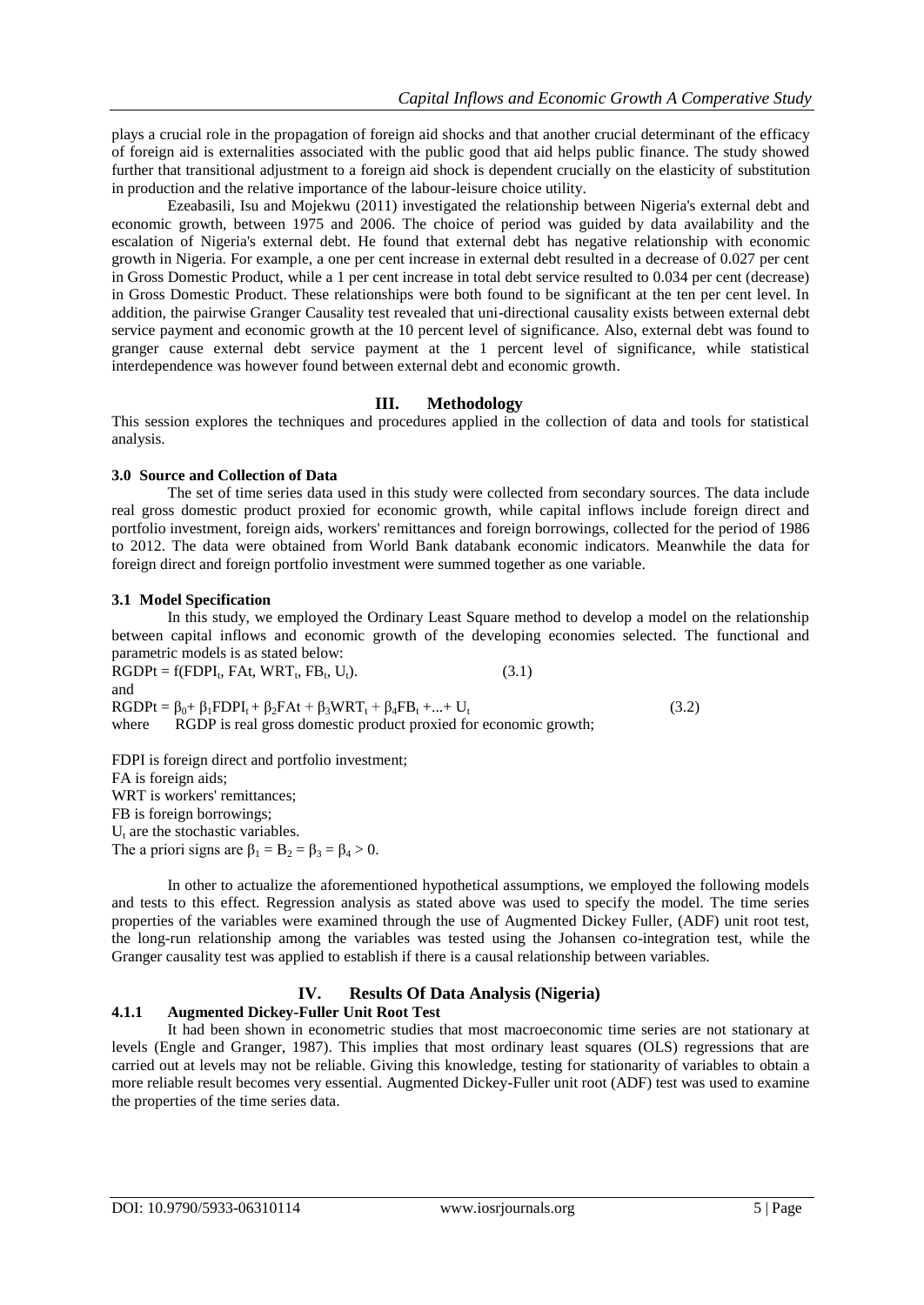plays a crucial role in the propagation of foreign aid shocks and that another crucial determinant of the efficacy of foreign aid is externalities associated with the public good that aid helps public finance. The study showed further that transitional adjustment to a foreign aid shock is dependent crucially on the elasticity of substitution in production and the relative importance of the labour-leisure choice utility.

Ezeabasili, Isu and Mojekwu (2011) investigated the relationship between Nigeria's external debt and economic growth, between 1975 and 2006. The choice of period was guided by data availability and the escalation of Nigeria's external debt. He found that external debt has negative relationship with economic growth in Nigeria. For example, a one per cent increase in external debt resulted in a decrease of 0.027 per cent in Gross Domestic Product, while a 1 per cent increase in total debt service resulted to 0.034 per cent (decrease) in Gross Domestic Product. These relationships were both found to be significant at the ten per cent level. In addition, the pairwise Granger Causality test revealed that uni-directional causality exists between external debt service payment and economic growth at the 10 percent level of significance. Also, external debt was found to granger cause external debt service payment at the 1 percent level of significance, while statistical interdependence was however found between external debt and economic growth.

## **III. Methodology**

This session explores the techniques and procedures applied in the collection of data and tools for statistical analysis.

#### **3.0 Source and Collection of Data**

The set of time series data used in this study were collected from secondary sources. The data include real gross domestic product proxied for economic growth, while capital inflows include foreign direct and portfolio investment, foreign aids, workers' remittances and foreign borrowings, collected for the period of 1986 to 2012. The data were obtained from World Bank databank economic indicators. Meanwhile the data for foreign direct and foreign portfolio investment were summed together as one variable.

#### **3.1 Model Specification**

In this study, we employed the Ordinary Least Square method to develop a model on the relationship between capital inflows and economic growth of the developing economies selected. The functional and parametric models is as stated below:

 $RGDPt = f(FDPI_t, FAt, WRT_t, FB_t, U_t).$  (3.1) and  $RGDPt = \beta_0 + \beta_1 FDPI_t + \beta_2 FAt + \beta_3 WRT_t + \beta_4 FB_t + ... + U_t$  (3.2) where RGDP is real gross domestic product proxied for economic growth;

FDPI is foreign direct and portfolio investment; FA is foreign aids; WRT is workers' remittances; FB is foreign borrowings;  $U_t$  are the stochastic variables. The a priori signs are  $\beta_1 = B_2 = \beta_3 = \beta_4 > 0$ .

In other to actualize the aforementioned hypothetical assumptions, we employed the following models and tests to this effect. Regression analysis as stated above was used to specify the model. The time series properties of the variables were examined through the use of Augmented Dickey Fuller, (ADF) unit root test, the long-run relationship among the variables was tested using the Johansen co-integration test, while the Granger causality test was applied to establish if there is a causal relationship between variables.

#### **IV. Results Of Data Analysis (Nigeria)**

#### **4.1.1 Augmented Dickey-Fuller Unit Root Test**

It had been shown in econometric studies that most macroeconomic time series are not stationary at levels (Engle and Granger, 1987). This implies that most ordinary least squares (OLS) regressions that are carried out at levels may not be reliable. Giving this knowledge, testing for stationarity of variables to obtain a more reliable result becomes very essential. Augmented Dickey-Fuller unit root (ADF) test was used to examine the properties of the time series data.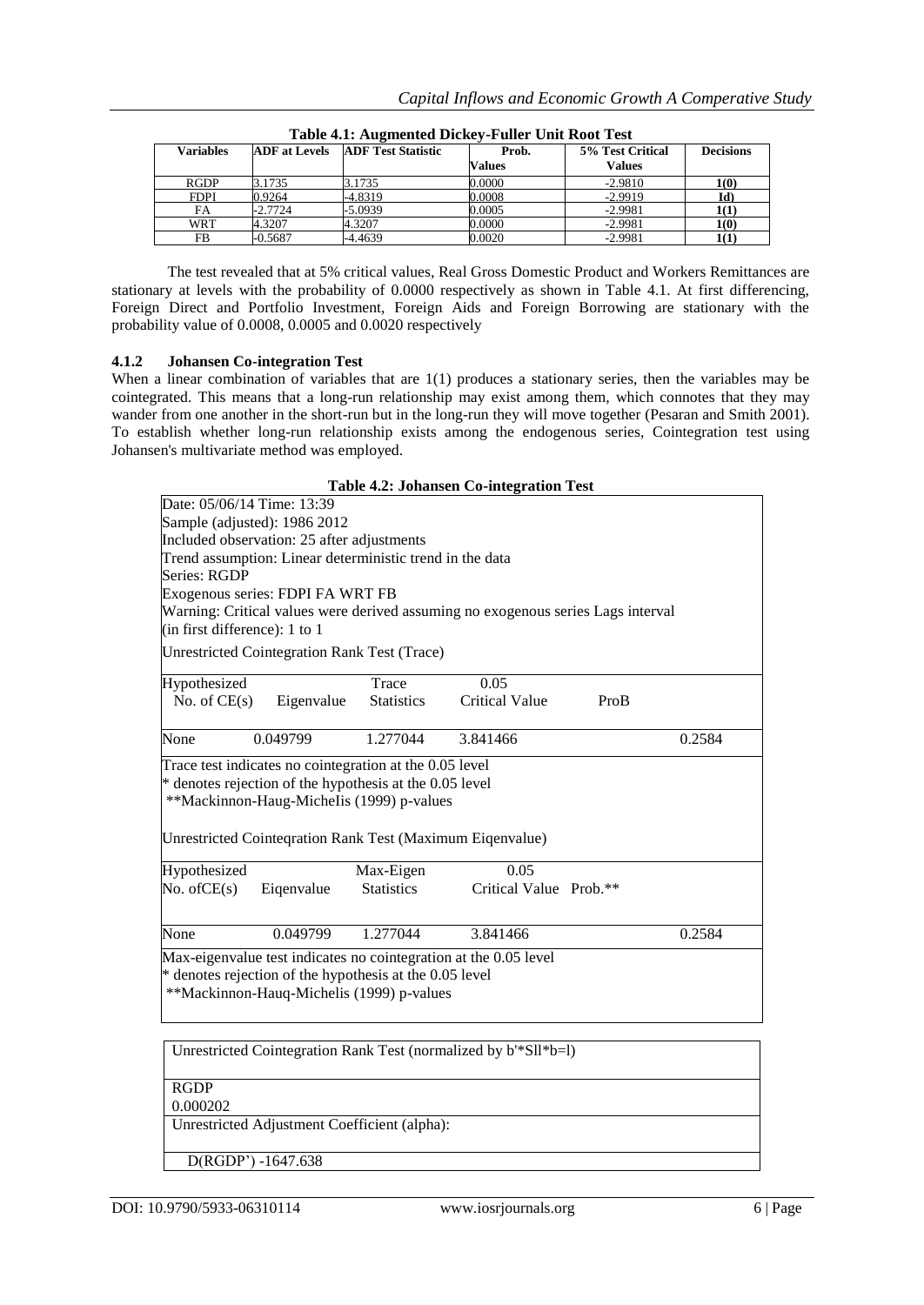| <b>Variables</b> | <b>ADF</b> at Levels | <b>ADF Test Statistic</b> | Prob.<br>Values | 5% Test Critical<br><b>Values</b> | <b>Decisions</b> |
|------------------|----------------------|---------------------------|-----------------|-----------------------------------|------------------|
| <b>RGDP</b>      | 3.1735               | 3.1735                    | 0.0000          | $-2.9810$                         | 1(0)             |
| <b>FDPI</b>      | 0.9264               | $-4.8319$                 | 0.0008          | $-2.9919$                         | Id)              |
| FA               | -2.7724              | $-5.0939$                 | 0.0005          | $-2.9981$                         | 1(1)             |
| WRT              | 4.3207               | 4.3207                    | 0.0000          | $-2.9981$                         | 1(0)             |
| FB               | -0.5687              | $-4.4639$                 | 0.0020          | $-2.9981$                         | 1(1)             |

**Table 4.1: Augmented Dickey-Fuller Unit Root Test**

The test revealed that at 5% critical values, Real Gross Domestic Product and Workers Remittances are stationary at levels with the probability of 0.0000 respectively as shown in Table 4.1. At first differencing, Foreign Direct and Portfolio Investment, Foreign Aids and Foreign Borrowing are stationary with the probability value of 0.0008, 0.0005 and 0.0020 respectively

## **4.1.2 Johansen Co-integration Test**

When a linear combination of variables that are 1(1) produces a stationary series, then the variables may be cointegrated. This means that a long-run relationship may exist among them, which connotes that they may wander from one another in the short-run but in the long-run they will move together (Pesaran and Smith 2001). To establish whether long-run relationship exists among the endogenous series, Cointegration test using Johansen's multivariate method was employed.

**Table 4.2: Johansen Co-integration Test**

| Date: 05/06/14 Time: 13:39                                                       |                   |                        |      |        |
|----------------------------------------------------------------------------------|-------------------|------------------------|------|--------|
| Sample (adjusted): 1986 2012                                                     |                   |                        |      |        |
| Included observation: 25 after adjustments                                       |                   |                        |      |        |
| Trend assumption: Linear deterministic trend in the data                         |                   |                        |      |        |
| Series: RGDP                                                                     |                   |                        |      |        |
| Exogenous series: FDPI FA WRT FB                                                 |                   |                        |      |        |
| Warning: Critical values were derived assuming no exogenous series Lags interval |                   |                        |      |        |
| (in first difference): 1 to 1                                                    |                   |                        |      |        |
| Unrestricted Cointegration Rank Test (Trace)                                     |                   |                        |      |        |
| Hypothesized                                                                     | Trace             | 0.05                   |      |        |
| No. of $CE(s)$<br>Eigenvalue                                                     | <b>Statistics</b> | <b>Critical Value</b>  | ProB |        |
| None<br>0.049799                                                                 | 1.277044          | 3.841466               |      | 0.2584 |
| Trace test indicates no cointegration at the 0.05 level                          |                   |                        |      |        |
| * denotes rejection of the hypothesis at the 0.05 level                          |                   |                        |      |        |
| **Mackinnon-Haug-Michelis (1999) p-values                                        |                   |                        |      |        |
|                                                                                  |                   |                        |      |        |
| Unrestricted Cointegration Rank Test (Maximum Eigenvalue)                        |                   |                        |      |        |
| Hypothesized                                                                     | Max-Eigen         | 0.05                   |      |        |
| No. of $CE(s)$<br>Eigenvalue                                                     | <b>Statistics</b> | Critical Value Prob.** |      |        |
|                                                                                  |                   |                        |      |        |
| None<br>0.049799                                                                 | 1.277044          | 3.841466               |      | 0.2584 |
| Max-eigenvalue test indicates no cointegration at the 0.05 level                 |                   |                        |      |        |
| * denotes rejection of the hypothesis at the 0.05 level                          |                   |                        |      |        |
| **Mackinnon-Hauq-Michelis (1999) p-values                                        |                   |                        |      |        |
|                                                                                  |                   |                        |      |        |

Unrestricted Cointegration Rank Test (normalized by b'\*Sll\*b=l) RGDP 0.000202 Unrestricted Adjustment Coefficient (alpha): D(RGDP') -1647.638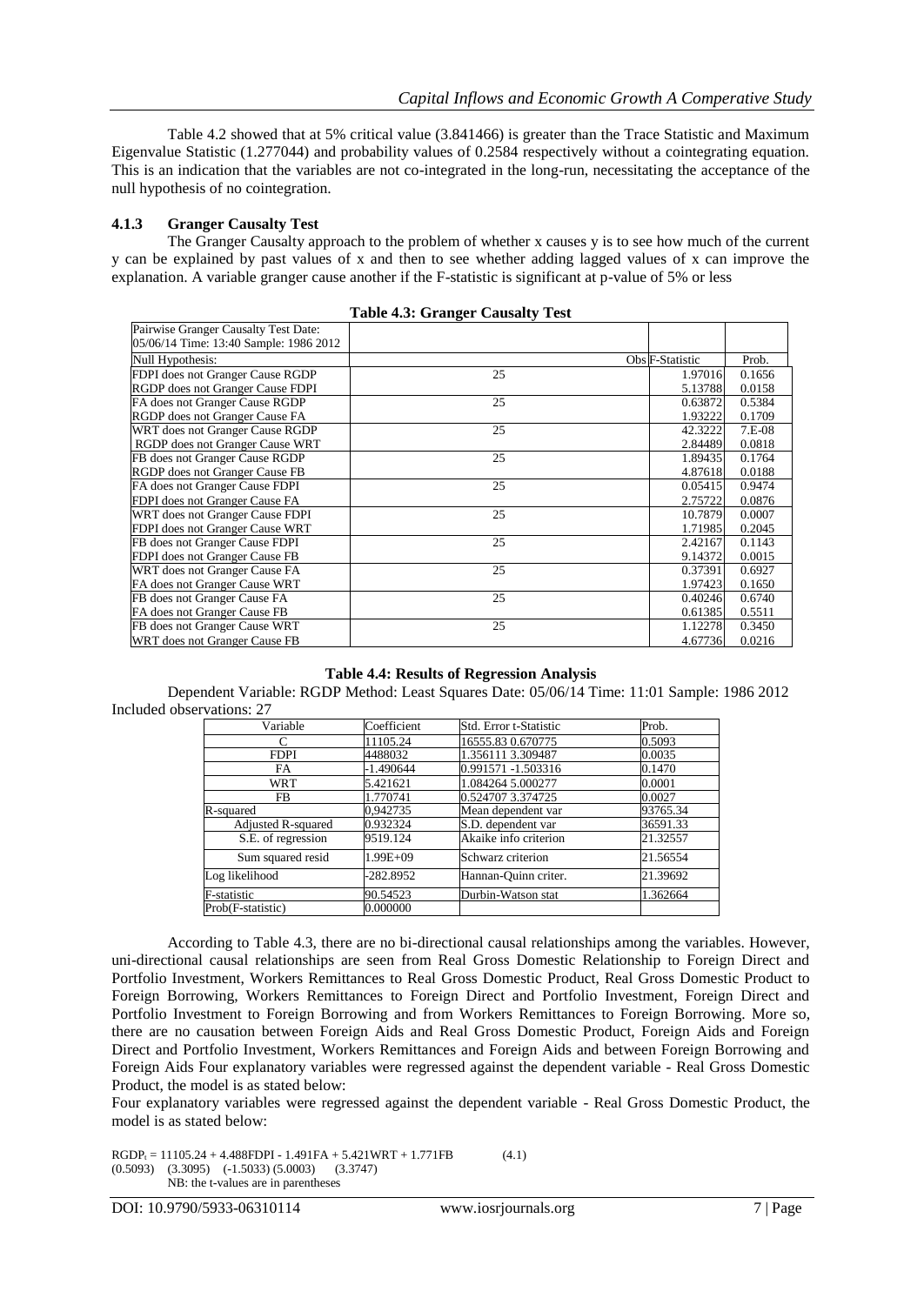Table 4.2 showed that at 5% critical value (3.841466) is greater than the Trace Statistic and Maximum Eigenvalue Statistic (1.277044) and probability values of 0.2584 respectively without a cointegrating equation. This is an indication that the variables are not co-integrated in the long-run, necessitating the acceptance of the null hypothesis of no cointegration.

## **4.1.3 Granger Causalty Test**

The Granger Causalty approach to the problem of whether x causes y is to see how much of the current y can be explained by past values of x and then to see whether adding lagged values of x can improve the explanation. A variable granger cause another if the F-statistic is significant at p-value of 5% or less

|                                        | rabic noi Granger Causany rest |                 |        |
|----------------------------------------|--------------------------------|-----------------|--------|
| Pairwise Granger Causalty Test Date:   |                                |                 |        |
| 05/06/14 Time: 13:40 Sample: 1986 2012 |                                |                 |        |
| Null Hypothesis:                       |                                | Obs F-Statistic | Prob.  |
| FDPI does not Granger Cause RGDP       | 25                             | 1.97016         | 0.1656 |
| RGDP does not Granger Cause FDPI       |                                | 5.13788         | 0.0158 |
| FA does not Granger Cause RGDP         | 25                             | 0.63872         | 0.5384 |
| RGDP does not Granger Cause FA         |                                | 1.93222         | 0.1709 |
| WRT does not Granger Cause RGDP        | 25                             | 42.3222         | 7.E-08 |
| RGDP does not Granger Cause WRT        |                                | 2.84489         | 0.0818 |
| FB does not Granger Cause RGDP         | 25                             | 1.89435         | 0.1764 |
| RGDP does not Granger Cause FB         |                                | 4.87618         | 0.0188 |
| FA does not Granger Cause FDPI         | 25                             | 0.05415         | 0.9474 |
| FDPI does not Granger Cause FA         |                                | 2.75722         | 0.0876 |
| WRT does not Granger Cause FDPI        | 25                             | 10.7879         | 0.0007 |
| FDPI does not Granger Cause WRT        |                                | 1.71985         | 0.2045 |
| FB does not Granger Cause FDPI         | 25                             | 2.42167         | 0.1143 |
| FDPI does not Granger Cause FB         |                                | 9.14372         | 0.0015 |
| WRT does not Granger Cause FA          | 25                             | 0.37391         | 0.6927 |
| FA does not Granger Cause WRT          |                                | 1.97423         | 0.1650 |
| FB does not Granger Cause FA           | 25                             | 0.40246         | 0.6740 |
| FA does not Granger Cause FB           |                                | 0.61385         | 0.5511 |
| FB does not Granger Cause WRT          | 25                             | 1.12278         | 0.3450 |
| WRT does not Granger Cause FB          |                                | 4.67736         | 0.0216 |

| <b>Table 4.3: Granger Causalty Test</b> |  |
|-----------------------------------------|--|
|-----------------------------------------|--|

## **Table 4.4: Results of Regression Analysis**

Dependent Variable: RGDP Method: Least Squares Date: 05/06/14 Time: 11:01 Sample: 1986 2012 Included observations: 27

| Variable                  | Coefficient | Std. Error t-Statistic | Prob.    |
|---------------------------|-------------|------------------------|----------|
| 11105.24                  |             | 16555.83 0.670775      | 0.5093   |
| <b>FDPI</b>               | 4488032     | 1.356111 3.309487      | 0.0035   |
| FA                        | $-1.490644$ | 0.991571 -1.503316     | 0.1470   |
| WRT                       | 5.421621    | 1.084264 5.000277      | 0.0001   |
| FB                        | 1.770741    | 0.524707 3.374725      | 0.0027   |
| R-squared                 | 0.942735    | Mean dependent var     | 93765.34 |
| <b>Adjusted R-squared</b> | 0.932324    | S.D. dependent var     | 36591.33 |
| S.E. of regression        | 9519.124    | Akaike info criterion  | 21.32557 |
| Sum squared resid         | 1.99E+09    | Schwarz criterion      | 21.56554 |
| Log likelihood            | -282.8952   | Hannan-Ouinn criter.   | 21.39692 |
| F-statistic               | 90.54523    | Durbin-Watson stat     | 1.362664 |
| Prob(F-statistic)         | 0.000000    |                        |          |

According to Table 4.3, there are no bi-directional causal relationships among the variables. However, uni-directional causal relationships are seen from Real Gross Domestic Relationship to Foreign Direct and Portfolio Investment, Workers Remittances to Real Gross Domestic Product, Real Gross Domestic Product to Foreign Borrowing, Workers Remittances to Foreign Direct and Portfolio Investment, Foreign Direct and Portfolio Investment to Foreign Borrowing and from Workers Remittances to Foreign Borrowing. More so, there are no causation between Foreign Aids and Real Gross Domestic Product, Foreign Aids and Foreign Direct and Portfolio Investment, Workers Remittances and Foreign Aids and between Foreign Borrowing and Foreign Aids Four explanatory variables were regressed against the dependent variable - Real Gross Domestic Product, the model is as stated below:

Four explanatory variables were regressed against the dependent variable - Real Gross Domestic Product, the model is as stated below:

 $RGDP_t = 11105.24 + 4.488FDPI - 1.491FA + 5.421WRT + 1.771FB$  (4.1) (0.5093) (3.3095) (-1.5033) (5.0003) (3.3747) NB: the t-values are in parentheses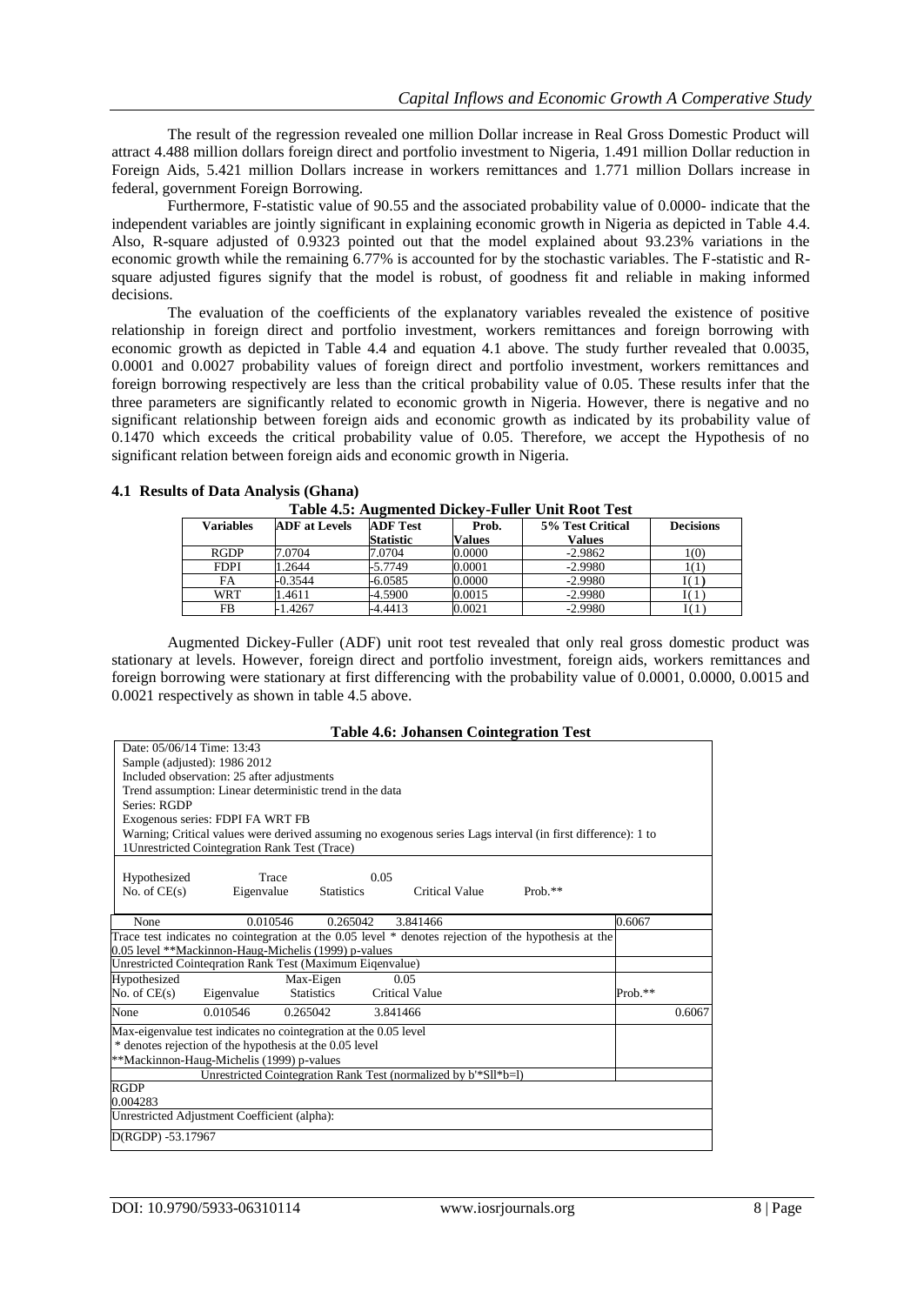The result of the regression revealed one million Dollar increase in Real Gross Domestic Product will attract 4.488 million dollars foreign direct and portfolio investment to Nigeria, 1.491 million Dollar reduction in Foreign Aids, 5.421 million Dollars increase in workers remittances and 1.771 million Dollars increase in federal, government Foreign Borrowing.

Furthermore, F-statistic value of 90.55 and the associated probability value of 0.0000- indicate that the independent variables are jointly significant in explaining economic growth in Nigeria as depicted in Table 4.4. Also, R-square adjusted of 0.9323 pointed out that the model explained about 93.23% variations in the economic growth while the remaining 6.77% is accounted for by the stochastic variables. The F-statistic and Rsquare adjusted figures signify that the model is robust, of goodness fit and reliable in making informed decisions.

The evaluation of the coefficients of the explanatory variables revealed the existence of positive relationship in foreign direct and portfolio investment, workers remittances and foreign borrowing with economic growth as depicted in Table 4.4 and equation 4.1 above. The study further revealed that 0.0035, 0.0001 and 0.0027 probability values of foreign direct and portfolio investment, workers remittances and foreign borrowing respectively are less than the critical probability value of 0.05. These results infer that the three parameters are significantly related to economic growth in Nigeria. However, there is negative and no significant relationship between foreign aids and economic growth as indicated by its probability value of 0.1470 which exceeds the critical probability value of 0.05. Therefore, we accept the Hypothesis of no significant relation between foreign aids and economic growth in Nigeria.

| Table 4.5. Augulement Dickey-Funct Omit Koot Test |                      |                 |        |                  |                  |  |
|---------------------------------------------------|----------------------|-----------------|--------|------------------|------------------|--|
| <b>Variables</b>                                  | <b>ADF</b> at Levels | <b>ADF Test</b> | Prob.  | 5% Test Critical | <b>Decisions</b> |  |
|                                                   |                      | Statistic       | Values | <b>Values</b>    |                  |  |
| RGDP                                              | 7.0704               | 7.0704          | 0.0000 | $-2.9862$        | 1(0)             |  |
| <b>FDPI</b>                                       | 1.2644               | $-5.7749$       | 0.0001 | $-2.9980$        |                  |  |
| FA                                                | $-0.3544$            | $-6.0585$       | 0.0000 | $-2.9980$        |                  |  |
| WRT                                               | 1.4611               | $-4.5900$       | 0.0015 | $-2.9980$        |                  |  |
| FB                                                | $-1.4267$            | -4.4413         | 0.0021 | $-2.9980$        |                  |  |

**4.1 Results of Data Analysis (Ghana) Table 4.5: Augmented Dickey-Fuller Unit Root Test**

Augmented Dickey-Fuller (ADF) unit root test revealed that only real gross domestic product was stationary at levels. However, foreign direct and portfolio investment, foreign aids, workers remittances and foreign borrowing were stationary at first differencing with the probability value of 0.0001, 0.0000, 0.0015 and 0.0021 respectively as shown in table 4.5 above.

**Table 4.6: Johansen Cointegration Test**

| Date: 05/06/14 Time: 13:43                                                                                   |            |        |
|--------------------------------------------------------------------------------------------------------------|------------|--------|
| Sample (adjusted): 1986 2012                                                                                 |            |        |
| Included observation: 25 after adjustments                                                                   |            |        |
| Trend assumption: Linear deterministic trend in the data                                                     |            |        |
| Series: RGDP                                                                                                 |            |        |
| Exogenous series: FDPI FA WRT FB                                                                             |            |        |
| Warning; Critical values were derived assuming no exogenous series Lags interval (in first difference): 1 to |            |        |
| 1 Unrestricted Cointegration Rank Test (Trace)                                                               |            |        |
|                                                                                                              |            |        |
| Hypothesized<br>0.05<br>Trace                                                                                |            |        |
| <b>Statistics</b><br>Prob. $**$<br>No. of $CE(s)$<br>Eigenvalue<br>Critical Value                            |            |        |
|                                                                                                              |            |        |
| 0.010546<br>0.265042<br>3.841466<br>None                                                                     | 0.6067     |        |
| Trace test indicates no cointegration at the 0.05 level * denotes rejection of the hypothesis at the         |            |        |
| 0.05 level **Mackinnon-Haug-Michelis (1999) p-values                                                         |            |        |
| Unrestricted Cointeqration Rank Test (Maximum Eigenvalue)                                                    |            |        |
| Hypothesized<br>0.05<br>Max-Eigen                                                                            |            |        |
| <b>Statistics</b><br>No. of $CE(s)$<br><b>Critical Value</b><br>Eigenvalue                                   | Prob. $**$ |        |
| None<br>0.010546<br>0.265042<br>3.841466                                                                     |            | 0.6067 |
| Max-eigenvalue test indicates no cointegration at the 0.05 level                                             |            |        |
| * denotes rejection of the hypothesis at the 0.05 level                                                      |            |        |
| **Mackinnon-Haug-Michelis (1999) p-values                                                                    |            |        |
| Unrestricted Cointegration Rank Test (normalized by b <sup>*</sup> Sll*b=l)                                  |            |        |
| <b>RGDP</b>                                                                                                  |            |        |
| 0.004283                                                                                                     |            |        |
| Unrestricted Adjustment Coefficient (alpha):                                                                 |            |        |
| D(RGDP) -53.17967                                                                                            |            |        |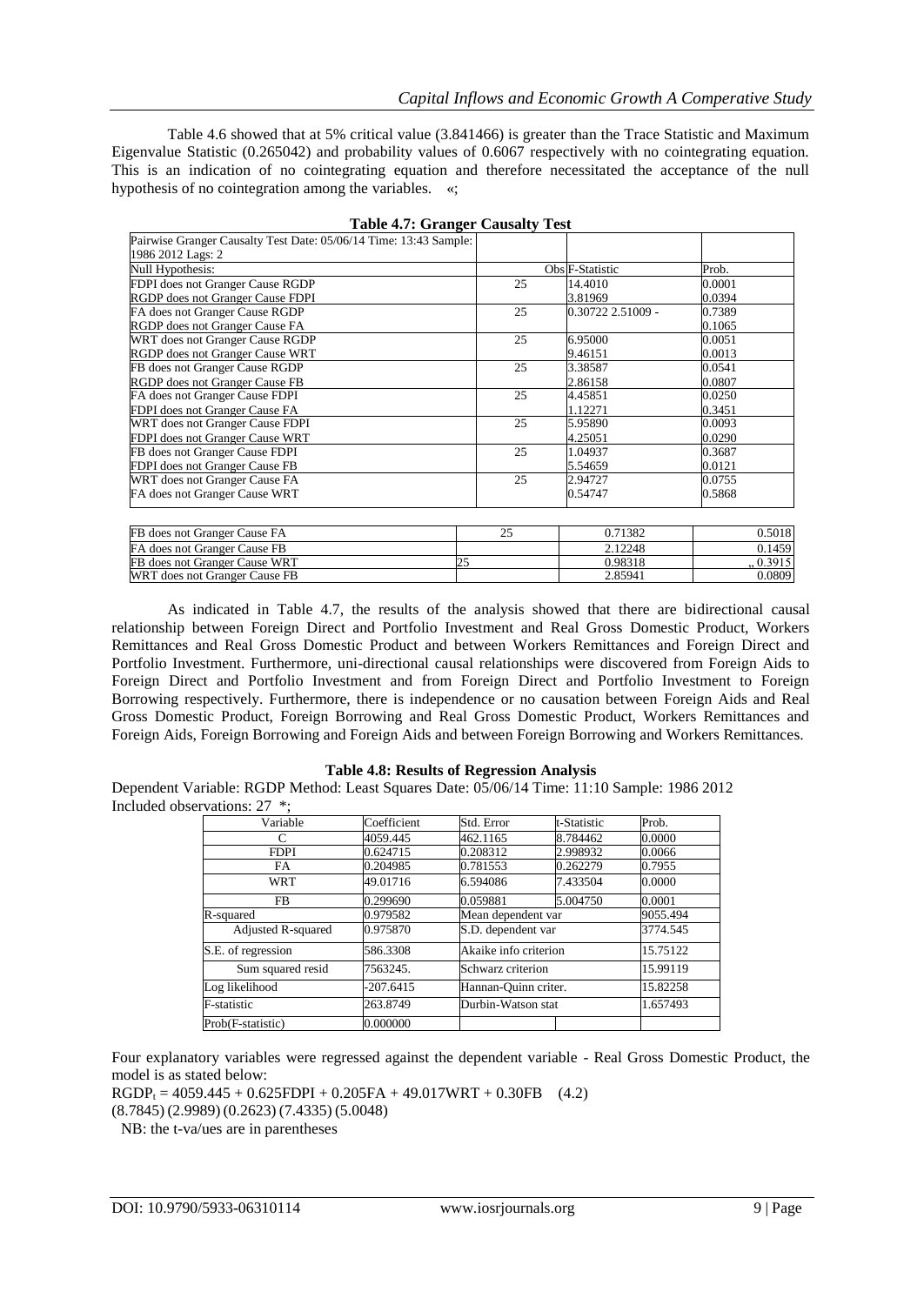Table 4.6 showed that at 5% critical value (3.841466) is greater than the Trace Statistic and Maximum Eigenvalue Statistic (0.265042) and probability values of 0.6067 respectively with no cointegrating equation. This is an indication of no cointegrating equation and therefore necessitated the acceptance of the null hypothesis of no cointegration among the variables. «;

| Pairwise Granger Causalty Test Date: 05/06/14 Time: 13:43 Sample: |    |                   |        |
|-------------------------------------------------------------------|----|-------------------|--------|
| 1986 2012 Lags: 2                                                 |    |                   |        |
| Null Hypothesis:                                                  |    | Obs F-Statistic   | Prob.  |
| FDPI does not Granger Cause RGDP                                  | 25 | 14.4010           | 0.0001 |
| RGDP does not Granger Cause FDPI                                  |    | 3.81969           | 0.0394 |
| FA does not Granger Cause RGDP                                    | 25 | 0.30722 2.51009 - | 0.7389 |
| RGDP does not Granger Cause FA                                    |    |                   | 0.1065 |
| WRT does not Granger Cause RGDP                                   | 25 | 6.95000           | 0.0051 |
| RGDP does not Granger Cause WRT                                   |    | 9.46151           | 0.0013 |
| FB does not Granger Cause RGDP                                    | 25 | 3.38587           | 0.0541 |
| RGDP does not Granger Cause FB                                    |    | 2.86158           | 0.0807 |
| FA does not Granger Cause FDPI                                    | 25 | 4.45851           | 0.0250 |
| FDPI does not Granger Cause FA                                    |    | 1.12271           | 0.3451 |
| WRT does not Granger Cause FDPI                                   | 25 | 5.95890           | 0.0093 |
| FDPI does not Granger Cause WRT                                   |    | 4.25051           | 0.0290 |
| FB does not Granger Cause FDPI                                    | 25 | 1.04937           | 0.3687 |
| FDPI does not Granger Cause FB                                    |    | 5.54659           | 0.0121 |
| WRT does not Granger Cause FA                                     | 25 | 2.94727           | 0.0755 |
| FA does not Granger Cause WRT                                     |    | 0.54747           | 0.5868 |

| FB does not Granger Cause FA  | 25 | 0.71382 | 0.5018 |
|-------------------------------|----|---------|--------|
| FA does not Granger Cause FB  |    | 2.12248 | 0.1459 |
| FB does not Granger Cause WRT |    | 0.98318 | 0.3915 |
| WRT does not Granger Cause FB |    | 2.85941 | 0.0809 |
|                               |    |         |        |

As indicated in Table 4.7, the results of the analysis showed that there are bidirectional causal relationship between Foreign Direct and Portfolio Investment and Real Gross Domestic Product, Workers Remittances and Real Gross Domestic Product and between Workers Remittances and Foreign Direct and Portfolio Investment. Furthermore, uni-directional causal relationships were discovered from Foreign Aids to Foreign Direct and Portfolio Investment and from Foreign Direct and Portfolio Investment to Foreign Borrowing respectively. Furthermore, there is independence or no causation between Foreign Aids and Real Gross Domestic Product, Foreign Borrowing and Real Gross Domestic Product, Workers Remittances and Foreign Aids, Foreign Borrowing and Foreign Aids and between Foreign Borrowing and Workers Remittances.

#### **Table 4.8: Results of Regression Analysis**

Dependent Variable: RGDP Method: Least Squares Date: 05/06/14 Time: 11:10 Sample: 1986 2012 Included observations: 27 \*;

| Variable           | Coefficient | Std. Error            | t-Statistic | Prob.    |
|--------------------|-------------|-----------------------|-------------|----------|
| C                  | 4059.445    | 462.1165              | 8.784462    | 0.0000   |
| <b>FDPI</b>        | 0.624715    | 0.208312              | 2.998932    | 0.0066   |
| FA                 | 0.204985    | 0.781553              | 0.262279    | 0.7955   |
| <b>WRT</b>         | 49.01716    | 6.594086              | 7.433504    | 0.0000   |
| FB.                | 0.299690    | 0.059881              | 5.004750    | 0.0001   |
| R-squared          | 0.979582    | Mean dependent var    |             | 9055.494 |
| Adjusted R-squared | 0.975870    | S.D. dependent var    |             | 3774.545 |
| S.E. of regression | 586.3308    | Akaike info criterion |             | 15.75122 |
| Sum squared resid  | 7563245.    | Schwarz criterion     |             | 15.99119 |
| Log likelihood     | $-207.6415$ | Hannan-Ouinn criter.  |             | 15.82258 |
| F-statistic        | 263.8749    | Durbin-Watson stat    |             | 1.657493 |
| Prob(F-statistic)  | 0.000000    |                       |             |          |

Four explanatory variables were regressed against the dependent variable - Real Gross Domestic Product, the model is as stated below:

 $RGDP_t = 4059.445 + 0.625FDPI + 0.205FA + 49.017WRT + 0.30FB$  (4.2)

(8.7845) (2.9989) (0.2623) (7.4335) (5.0048)

NB: the t-va/ues are in parentheses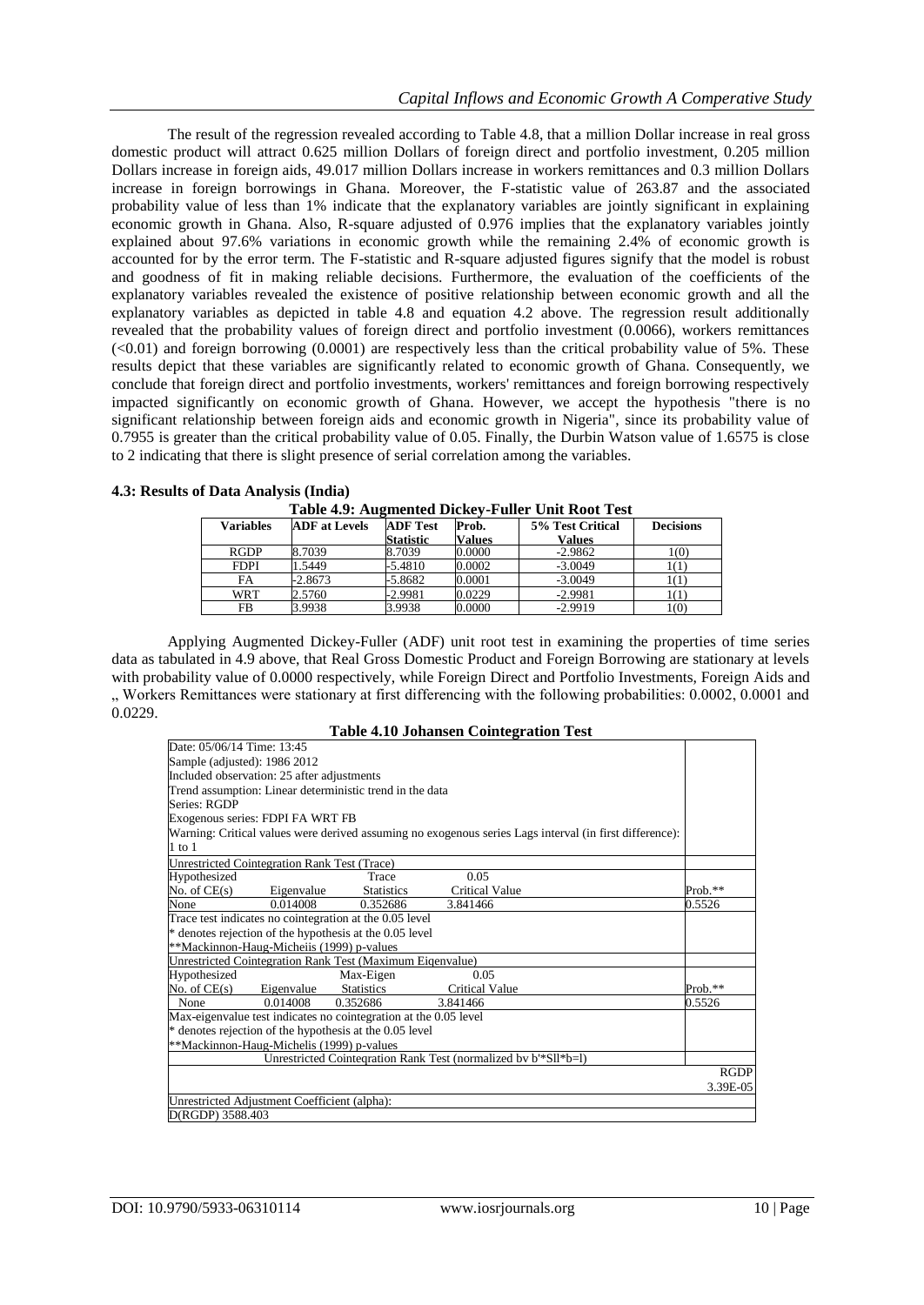The result of the regression revealed according to Table 4.8, that a million Dollar increase in real gross domestic product will attract 0.625 million Dollars of foreign direct and portfolio investment, 0.205 million Dollars increase in foreign aids, 49.017 million Dollars increase in workers remittances and 0.3 million Dollars increase in foreign borrowings in Ghana. Moreover, the F-statistic value of 263.87 and the associated probability value of less than 1% indicate that the explanatory variables are jointly significant in explaining economic growth in Ghana. Also, R-square adjusted of 0.976 implies that the explanatory variables jointly explained about 97.6% variations in economic growth while the remaining 2.4% of economic growth is accounted for by the error term. The F-statistic and R-square adjusted figures signify that the model is robust and goodness of fit in making reliable decisions. Furthermore, the evaluation of the coefficients of the explanatory variables revealed the existence of positive relationship between economic growth and all the explanatory variables as depicted in table 4.8 and equation 4.2 above. The regression result additionally revealed that the probability values of foreign direct and portfolio investment (0.0066), workers remittances  $\langle$ <0.01) and foreign borrowing  $(0.0001)$  are respectively less than the critical probability value of 5%. These results depict that these variables are significantly related to economic growth of Ghana. Consequently, we conclude that foreign direct and portfolio investments, workers' remittances and foreign borrowing respectively impacted significantly on economic growth of Ghana. However, we accept the hypothesis "there is no significant relationship between foreign aids and economic growth in Nigeria", since its probability value of 0.7955 is greater than the critical probability value of 0.05. Finally, the Durbin Watson value of 1.6575 is close to 2 indicating that there is slight presence of serial correlation among the variables.

| Table 4.7. Augulelicu Dickey-Fullet Ullit Koot Test |                      |                  |        |                  |                    |  |
|-----------------------------------------------------|----------------------|------------------|--------|------------------|--------------------|--|
| <b>Variables</b>                                    | <b>ADF</b> at Levels | <b>ADF Test</b>  | Prob.  | 5% Test Critical | <b>Decisions</b>   |  |
|                                                     |                      | <b>Statistic</b> | Values | <b>Values</b>    |                    |  |
| <b>RGDP</b>                                         | 8.7039               | 8.7039           | 0.0000 | $-2.9862$        | $(0)$ <sup>1</sup> |  |
| <b>FDPI</b>                                         | 1.5449               | $-5.4810$        | 0.0002 | $-3.0049$        |                    |  |
| FA                                                  | $-2.8673$            | $-5.8682$        | 0.0001 | $-3.0049$        |                    |  |
| WRT                                                 | 2.5760               | $-2.9981$        | 0.0229 | $-2.9981$        |                    |  |
| FB                                                  | 3.9938               | 3.9938           | 0.0000 | $-2.9919$        | 1(0)               |  |

| <b>4.3: Results of Data Analysis (India)</b> |                                                   |
|----------------------------------------------|---------------------------------------------------|
|                                              | Table 4 0: Augmented Dickey-Fuller Unit Root Test |

Applying Augmented Dickey-Fuller (ADF) unit root test in examining the properties of time series data as tabulated in 4.9 above, that Real Gross Domestic Product and Foreign Borrowing are stationary at levels with probability value of 0.0000 respectively, while Foreign Direct and Portfolio Investments, Foreign Aids and ", Workers Remittances were stationary at first differencing with the following probabilities: 0.0002, 0.0001 and 0.0229.

| Date: 05/06/14 Time: 13:45                                       |                   |                                                                                                         |             |
|------------------------------------------------------------------|-------------------|---------------------------------------------------------------------------------------------------------|-------------|
| Sample (adjusted): 1986 2012                                     |                   |                                                                                                         |             |
| Included observation: 25 after adjustments                       |                   |                                                                                                         |             |
| Trend assumption: Linear deterministic trend in the data         |                   |                                                                                                         |             |
| Series: RGDP                                                     |                   |                                                                                                         |             |
| Exogenous series: FDPI FA WRT FB                                 |                   |                                                                                                         |             |
|                                                                  |                   | Warning: Critical values were derived assuming no exogenous series Lags interval (in first difference): |             |
| $1$ to $1$                                                       |                   |                                                                                                         |             |
| Unrestricted Cointegration Rank Test (Trace)                     |                   |                                                                                                         |             |
| Hypothesized                                                     | Trace             | 0.05                                                                                                    |             |
| No. of $CE(s)$<br>Eigenvalue                                     | <b>Statistics</b> | <b>Critical Value</b>                                                                                   | $Prob.**$   |
| None<br>0.014008                                                 | 0.352686          | 3.841466                                                                                                | 0.5526      |
| Trace test indicates no cointegration at the 0.05 level          |                   |                                                                                                         |             |
| * denotes rejection of the hypothesis at the 0.05 level          |                   |                                                                                                         |             |
| **Mackinnon-Haug-Micheiis (1999) p-values                        |                   |                                                                                                         |             |
| Unrestricted Cointegration Rank Test (Maximum Eigenvalue)        |                   |                                                                                                         |             |
| Hypothesized                                                     | Max-Eigen         | 0.05                                                                                                    |             |
| No. of $CE(s)$<br>Eigenvalue                                     | <b>Statistics</b> | Critical Value                                                                                          | $Prob.**$   |
| None<br>0.014008                                                 | 0.352686          | 3.841466                                                                                                | 0.5526      |
| Max-eigenvalue test indicates no cointegration at the 0.05 level |                   |                                                                                                         |             |
| * denotes rejection of the hypothesis at the 0.05 level          |                   |                                                                                                         |             |
| **Mackinnon-Haug-Michelis (1999) p-values                        |                   |                                                                                                         |             |
|                                                                  |                   | Unrestricted Cointeqration Rank Test (normalized by b'*Sll*b=l)                                         |             |
|                                                                  |                   |                                                                                                         | <b>RGDP</b> |
|                                                                  |                   |                                                                                                         | 3.39E-05    |
| Unrestricted Adjustment Coefficient (alpha):                     |                   |                                                                                                         |             |
| D(RGDP) 3588.403                                                 |                   |                                                                                                         |             |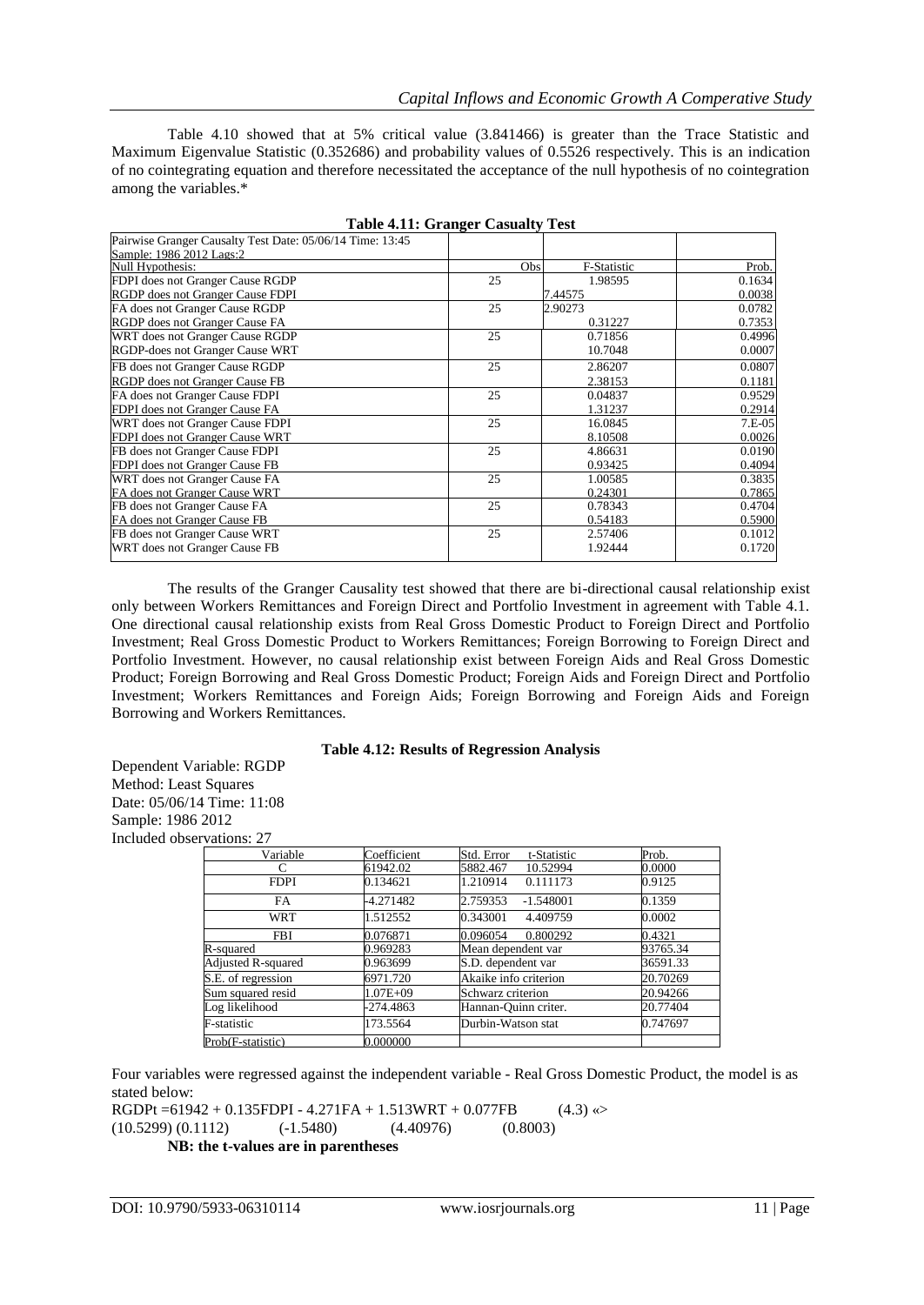Table 4.10 showed that at 5% critical value (3.841466) is greater than the Trace Statistic and Maximum Eigenvalue Statistic (0.352686) and probability values of 0.5526 respectively. This is an indication of no cointegrating equation and therefore necessitated the acceptance of the null hypothesis of no cointegration among the variables.\*

| Pairwise Granger Causalty Test Date: 05/06/14 Time: 13:45 |     |             |        |
|-----------------------------------------------------------|-----|-------------|--------|
| Sample: 1986 2012 Lags:2                                  |     |             |        |
| Null Hypothesis:                                          | Obs | F-Statistic | Prob.  |
| FDPI does not Granger Cause RGDP                          | 25  | 1.98595     | 0.1634 |
| RGDP does not Granger Cause FDPI                          |     | 7.44575     | 0.0038 |
| FA does not Granger Cause RGDP                            | 25  | 2.90273     | 0.0782 |
| RGDP does not Granger Cause FA                            |     | 0.31227     | 0.7353 |
| WRT does not Granger Cause RGDP                           | 25  | 0.71856     | 0.4996 |
| RGDP-does not Granger Cause WRT                           |     | 10.7048     | 0.0007 |
| FB does not Granger Cause RGDP                            | 25  | 2.86207     | 0.0807 |
| RGDP does not Granger Cause FB                            |     | 2.38153     | 0.1181 |
| FA does not Granger Cause FDPI                            | 25  | 0.04837     | 0.9529 |
| FDPI does not Granger Cause FA                            |     | 1.31237     | 0.2914 |
| WRT does not Granger Cause FDPI                           | 25  | 16.0845     | 7.E-05 |
| FDPI does not Granger Cause WRT                           |     | 8.10508     | 0.0026 |
| FB does not Granger Cause FDPI                            | 25  | 4.86631     | 0.0190 |
| FDPI does not Granger Cause FB                            |     | 0.93425     | 0.4094 |
| WRT does not Granger Cause FA                             | 25  | 1.00585     | 0.3835 |
| FA does not Granger Cause WRT                             |     | 0.24301     | 0.7865 |
| FB does not Granger Cause FA                              | 25  | 0.78343     | 0.4704 |
| FA does not Granger Cause FB                              |     | 0.54183     | 0.5900 |
| FB does not Granger Cause WRT                             | 25  | 2.57406     | 0.1012 |
| WRT does not Granger Cause FB                             |     | 1.92444     | 0.1720 |

The results of the Granger Causality test showed that there are bi-directional causal relationship exist only between Workers Remittances and Foreign Direct and Portfolio Investment in agreement with Table 4.1. One directional causal relationship exists from Real Gross Domestic Product to Foreign Direct and Portfolio Investment; Real Gross Domestic Product to Workers Remittances; Foreign Borrowing to Foreign Direct and Portfolio Investment. However, no causal relationship exist between Foreign Aids and Real Gross Domestic Product; Foreign Borrowing and Real Gross Domestic Product; Foreign Aids and Foreign Direct and Portfolio Investment; Workers Remittances and Foreign Aids; Foreign Borrowing and Foreign Aids and Foreign Borrowing and Workers Remittances.

#### **Table 4.12: Results of Regression Analysis**

Dependent Variable: RGDP Method: Least Squares Date: 05/06/14 Time: 11:08 Sample: 1986 2012 Included observations: 27

| Variable           | Coefficient  | Std. Error<br>t-Statistic | Prob.    |
|--------------------|--------------|---------------------------|----------|
| C                  | 61942.02     | 5882.467<br>10.52994      | 0.0000   |
| <b>FDPI</b>        | 0.134621     | 1.210914<br>0.111173      | 0.9125   |
| FA                 | $-4.271482$  | 2.759353<br>$-1.548001$   | 0.1359   |
| <b>WRT</b>         | 1.512552     | 0.343001<br>4.409759      | 0.0002   |
| <b>FBI</b>         | 0.076871     | 0.096054<br>0.800292      | 0.4321   |
| R-squared          | 0.969283     | Mean dependent var        | 93765.34 |
| Adjusted R-squared | 0.963699     | S.D. dependent var        | 36591.33 |
| S.E. of regression | 6971.720     | Akaike info criterion     | 20.70269 |
| Sum squared resid  | $1.07E + 09$ | Schwarz criterion         | 20.94266 |
| Log likelihood     | -274.4863    | Hannan-Ouinn criter.      | 20.77404 |
| F-statistic        | 173.5564     | Durbin-Watson stat        | 0.747697 |
| Prob(F-statistic)  | 0.000000     |                           |          |

Four variables were regressed against the independent variable - Real Gross Domestic Product, the model is as stated below:

 $\begin{array}{lll} \text{RGDPt =} 61942 + 0.135 \text{FDPI - } 4.271 \text{FA} + 1.513 \text{WRT} + 0.077 \text{FB} & (4.3) \ll 10.5299 & (0.1112) & (-1.5480) & (4.40976) & (0.8003) \end{array}$  $(10.5299) (0.1112)$   $(-1.5480)$   $(4.40976)$   $(0.8003)$ 

**NB: the t-values are in parentheses**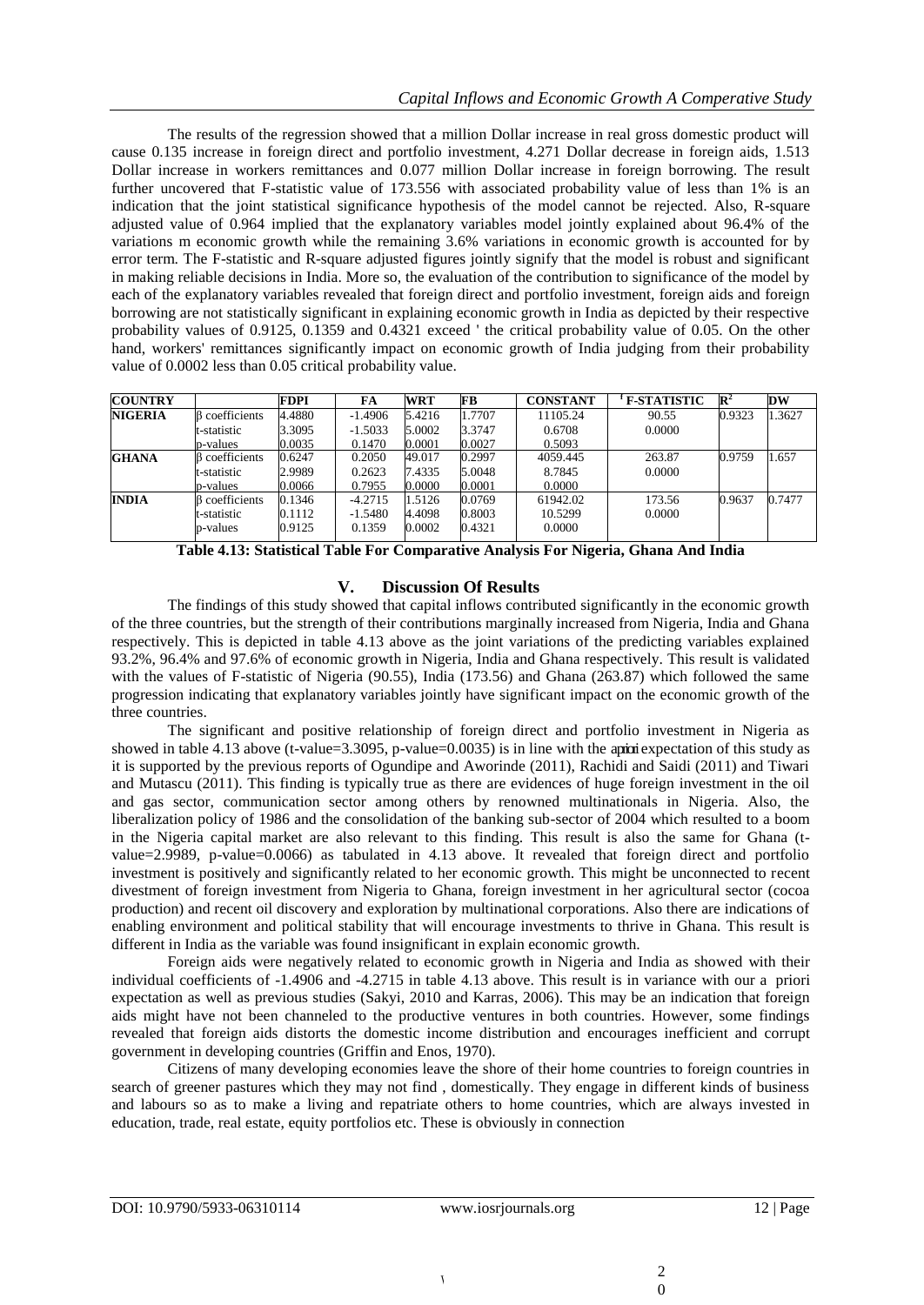The results of the regression showed that a million Dollar increase in real gross domestic product will cause 0.135 increase in foreign direct and portfolio investment, 4.271 Dollar decrease in foreign aids, 1.513 Dollar increase in workers remittances and 0.077 million Dollar increase in foreign borrowing. The result further uncovered that F-statistic value of 173.556 with associated probability value of less than 1% is an indication that the joint statistical significance hypothesis of the model cannot be rejected. Also, R-square adjusted value of 0.964 implied that the explanatory variables model jointly explained about 96.4% of the variations m economic growth while the remaining 3.6% variations in economic growth is accounted for by error term. The F-statistic and R-square adjusted figures jointly signify that the model is robust and significant in making reliable decisions in India. More so, the evaluation of the contribution to significance of the model by each of the explanatory variables revealed that foreign direct and portfolio investment, foreign aids and foreign borrowing are not statistically significant in explaining economic growth in India as depicted by their respective probability values of 0.9125, 0.1359 and 0.4321 exceed ' the critical probability value of 0.05. On the other hand, workers' remittances significantly impact on economic growth of India judging from their probability value of 0.0002 less than 0.05 critical probability value.

| <b>COUNTRY</b> |                       | <b>FDPI</b> | FA        | <b>WRT</b> | FB     | <b>CONSTANT</b> | <b>F-STATISTIC</b> | $\mathbb{R}^2$ | <b>DW</b> |
|----------------|-----------------------|-------------|-----------|------------|--------|-----------------|--------------------|----------------|-----------|
| <b>NIGERIA</b> | <b>B</b> coefficients | 4.4880      | $-1.4906$ | 5.4216     | 1.7707 | 11105.24        | 90.55              | 0.9323         | 1.3627    |
|                | t-statistic           | 3.3095      | $-1.5033$ | 5.0002     | 3.3747 | 0.6708          | 0.0000             |                |           |
|                | p-values              | 0.0035      | 0.1470    | 0.0001     | 0.0027 | 0.5093          |                    |                |           |
| <b>GHANA</b>   | <b>B</b> coefficients | 0.6247      | 0.2050    | 49.017     | 0.2997 | 4059.445        | 263.87             | 0.9759         | 1.657     |
|                | t-statistic           | 2.9989      | 0.2623    | 7.4335     | 5.0048 | 8.7845          | 0.0000             |                |           |
|                | p-values              | 0.0066      | 0.7955    | 0.0000     | 0.0001 | 0.0000          |                    |                |           |
| <b>INDIA</b>   | <b>B</b> coefficients | 0.1346      | $-4.2715$ | 1.5126     | 0.0769 | 61942.02        | 173.56             | 0.9637         | 0.7477    |
|                | t-statistic           | 0.1112      | $-1.5480$ | 4.4098     | 0.8003 | 10.5299         | 0.0000             |                |           |
|                | p-values              | 0.9125      | 0.1359    | 0.0002     | 0.4321 | 0.0000          |                    |                |           |

**Table 4.13: Statistical Table For Comparative Analysis For Nigeria, Ghana And India**

# **V. Discussion Of Results**

The findings of this study showed that capital inflows contributed significantly in the economic growth of the three countries, but the strength of their contributions marginally increased from Nigeria, India and Ghana respectively. This is depicted in table 4.13 above as the joint variations of the predicting variables explained 93.2%, 96.4% and 97.6% of economic growth in Nigeria, India and Ghana respectively. This result is validated with the values of F-statistic of Nigeria (90.55), India (173.56) and Ghana (263.87) which followed the same progression indicating that explanatory variables jointly have significant impact on the economic growth of the three countries.

The significant and positive relationship of foreign direct and portfolio investment in Nigeria as showed in table 4.13 above (t-value=3.3095, p-value=0.0035) is in line with the apicitexpectation of this study as it is supported by the previous reports of Ogundipe and Aworinde (2011), Rachidi and Saidi (2011) and Tiwari and Mutascu (2011). This finding is typically true as there are evidences of huge foreign investment in the oil and gas sector, communication sector among others by renowned multinationals in Nigeria. Also, the liberalization policy of 1986 and the consolidation of the banking sub-sector of 2004 which resulted to a boom in the Nigeria capital market are also relevant to this finding. This result is also the same for Ghana (tvalue=2.9989, p-value=0.0066) as tabulated in 4.13 above. It revealed that foreign direct and portfolio investment is positively and significantly related to her economic growth. This might be unconnected to recent divestment of foreign investment from Nigeria to Ghana, foreign investment in her agricultural sector (cocoa production) and recent oil discovery and exploration by multinational corporations. Also there are indications of enabling environment and political stability that will encourage investments to thrive in Ghana. This result is different in India as the variable was found insignificant in explain economic growth.

Foreign aids were negatively related to economic growth in Nigeria and India as showed with their individual coefficients of -1.4906 and -4.2715 in table 4.13 above. This result is in variance with our a priori expectation as well as previous studies (Sakyi, 2010 and Karras, 2006). This may be an indication that foreign aids might have not been channeled to the productive ventures in both countries. However, some findings revealed that foreign aids distorts the domestic income distribution and encourages inefficient and corrupt government in developing countries (Griffin and Enos, 1970).

Citizens of many developing economies leave the shore of their home countries to foreign countries in search of greener pastures which they may not find , domestically. They engage in different kinds of business and labours so as to make a living and repatriate others to home countries, which are always invested in education, trade, real estate, equity portfolios etc. These is obviously in connection

V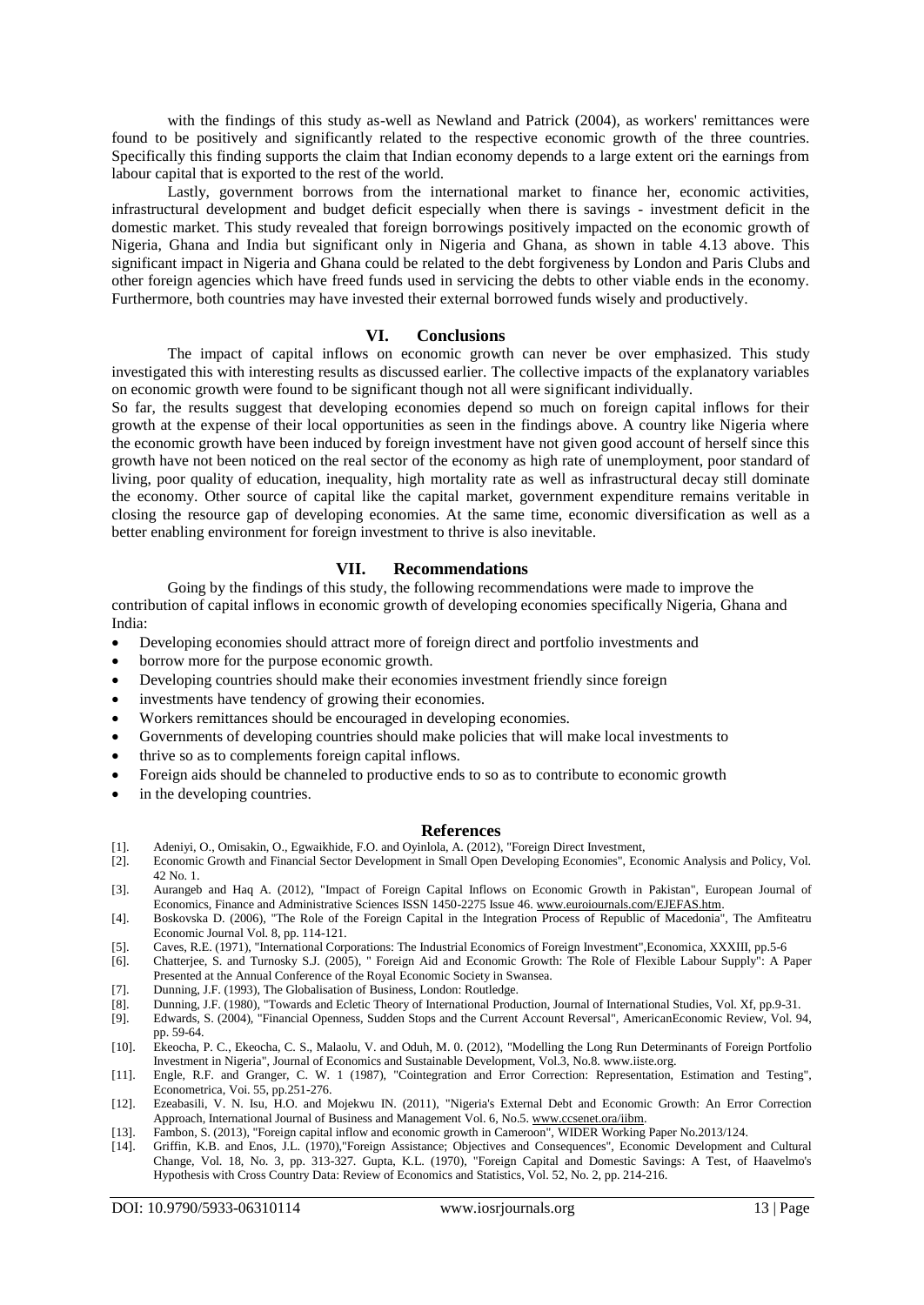with the findings of this study as-well as Newland and Patrick (2004), as workers' remittances were found to be positively and significantly related to the respective economic growth of the three countries. Specifically this finding supports the claim that Indian economy depends to a large extent ori the earnings from labour capital that is exported to the rest of the world.

Lastly, government borrows from the international market to finance her, economic activities, infrastructural development and budget deficit especially when there is savings - investment deficit in the domestic market. This study revealed that foreign borrowings positively impacted on the economic growth of Nigeria, Ghana and India but significant only in Nigeria and Ghana, as shown in table 4.13 above. This significant impact in Nigeria and Ghana could be related to the debt forgiveness by London and Paris Clubs and other foreign agencies which have freed funds used in servicing the debts to other viable ends in the economy. Furthermore, both countries may have invested their external borrowed funds wisely and productively.

## **VI. Conclusions**

The impact of capital inflows on economic growth can never be over emphasized. This study investigated this with interesting results as discussed earlier. The collective impacts of the explanatory variables on economic growth were found to be significant though not all were significant individually.

So far, the results suggest that developing economies depend so much on foreign capital inflows for their growth at the expense of their local opportunities as seen in the findings above. A country like Nigeria where the economic growth have been induced by foreign investment have not given good account of herself since this growth have not been noticed on the real sector of the economy as high rate of unemployment, poor standard of living, poor quality of education, inequality, high mortality rate as well as infrastructural decay still dominate the economy. Other source of capital like the capital market, government expenditure remains veritable in closing the resource gap of developing economies. At the same time, economic diversification as well as a better enabling environment for foreign investment to thrive is also inevitable.

#### **VII. Recommendations**

Going by the findings of this study, the following recommendations were made to improve the contribution of capital inflows in economic growth of developing economies specifically Nigeria, Ghana and India:

- Developing economies should attract more of foreign direct and portfolio investments and
- borrow more for the purpose economic growth.
- Developing countries should make their economies investment friendly since foreign
- investments have tendency of growing their economies.
- Workers remittances should be encouraged in developing economies.
- Governments of developing countries should make policies that will make local investments to
- thrive so as to complements foreign capital inflows.
- Foreign aids should be channeled to productive ends to so as to contribute to economic growth
- in the developing countries.

#### **References**

- [1]. Adeniyi, O., Omisakin, O., Egwaikhide, F.O. and Oyinlola, A. (2012), "Foreign Direct Investment,
- [2]. Economic Growth and Financial Sector Development in Small Open Developing Economies", Economic Analysis and Policy, Vol. 42 No. 1.
- [3]. Aurangeb and Haq A. (2012), "Impact of Foreign Capital Inflows on Economic Growth in Pakistan", European Journal of Economics, Finance and Administrative Sciences ISSN 1450-2275 Issue 46. [www.euroiournals.com/EJEFAS.htm.](http://www.euroiournals.com/EJEFAS.htm)
- [4]. Boskovska D. (2006), "The Role of the Foreign Capital in the Integration Process of Republic of Macedonia", The Amfiteatru Economic Journal Vol. 8, pp. 114-121.
- [5]. Caves, R.E. (1971), "International Corporations: The Industrial Economics of Foreign Investment",Economica, XXXIII, pp.5-6
- [6]. Chatterjee, S. and Turnosky S.J. (2005), " Foreign Aid and Economic Growth: The Role of Flexible Labour Supply": A Paper Presented at the Annual Conference of the Royal Economic Society in Swansea.
- [7]. Dunning, J.F. (1993), The Globalisation of Business, London: Routledge.
- [8]. Dunning, J.F. (1980), "Towards and Ecletic Theory of International Production, Journal of International Studies, Vol. Xf, pp.9-31.
- [9]. Edwards, S. (2004), "Financial Openness, Sudden Stops and the Current Account Reversal", AmericanEconomic Review, Vol. 94, pp. 59-64.
- [10]. Ekeocha, P. C., Ekeocha, C. S., Malaolu, V. and Oduh, M. 0. (2012), "Modelling the Long Run Determinants of Foreign Portfolio Investment in Nigeria", Journal of Economics and Sustainable Development, Vol.3, No.8. www.iiste.org.
- [11]. Engle, R.F. and Granger, C. W. 1 (1987), "Cointegration and Error Correction: Representation, Estimation and Testing", Econometrica, Voi. 55, pp.251-276.
- [12]. Ezeabasili, V. N. Isu, H.O. and Mojekwu IN. (2011), "Nigeria's External Debt and Economic Growth: An Error Correction Approach, International Journal of Business and Management Vol. 6, No.5[. www.ccsenet.ora/iibm.](http://www.ccsenet.ora/iibm)
- [13]. Fambon, S. (2013), "Foreign capital inflow and economic growth in Cameroon", WIDER Working Paper No.2013/124.
- [14]. Griffin, K.B. and Enos, J.L. (1970),"Foreign Assistance; Objectives and Consequences", Economic Development and Cultural Change, Vol. 18, No. 3, pp. 313-327. Gupta, K.L. (1970), "Foreign Capital and Domestic Savings: A Test, of Haavelmo's Hypothesis with Cross Country Data: Review of Economics and Statistics, Vol. 52, No. 2, pp. 214-216.